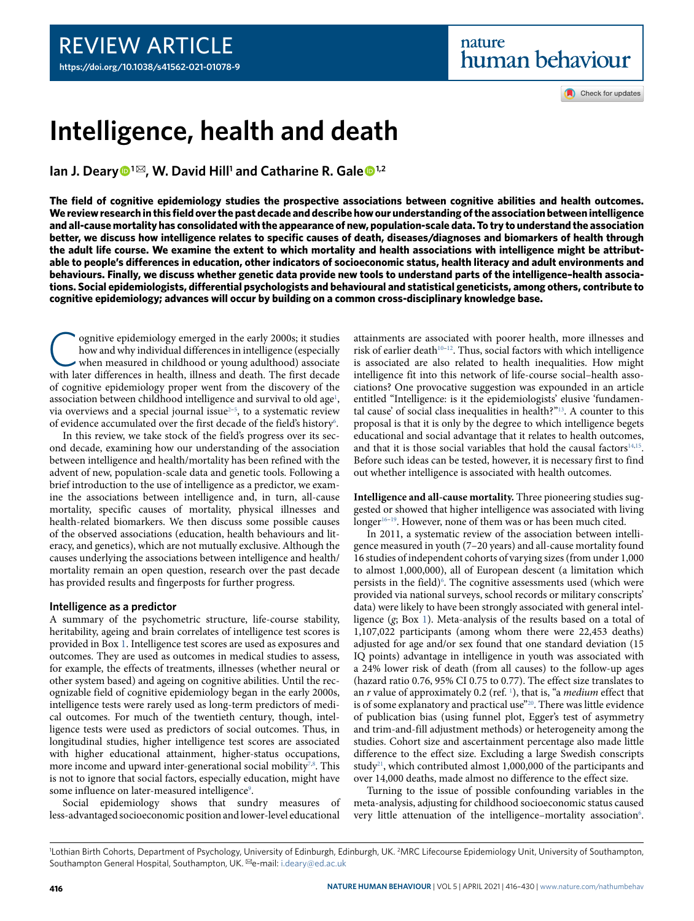Check for updates

# **Intelligence, health and death**

**Ian J. Deary<sup>●1⊠</sup>, W. David Hill<sup>1</sup> and Catharine R. Gale<sup>●1,2</sup>** 

**The field of cognitive epidemiology studies the prospective associations between cognitive abilities and health outcomes. We review research in this field over the past decade and describe how our understanding of the association between intelligence and all-cause mortality has consolidated with the appearance of new, population-scale data. To try to understand the association better, we discuss how intelligence relates to specific causes of death, diseases/diagnoses and biomarkers of health through the adult life course. We examine the extent to which mortality and health associations with intelligence might be attributable to people's differences in education, other indicators of socioeconomic status, health literacy and adult environments and behaviours. Finally, we discuss whether genetic data provide new tools to understand parts of the intelligence–health associations. Social epidemiologists, differential psychologists and behavioural and statistical geneticists, among others, contribute to cognitive epidemiology; advances will occur by building on a common cross-disciplinary knowledge base.**

Consitive epidemiology emerged in the early 2000s; it studies<br>how and why individual differences in intelligence (especially<br>when measured in childhood or young adulthood) associate<br>with later differences in health, illnes ognitive epidemiology emerged in the early 2000s; it studies how and why individual differences in intelligence (especially when measured in childhood or young adulthood) associate of cognitive epidemiology proper went from the discovery of the association between childhood intelligence and survival to old age<sup>[1](#page-12-0)</sup>, via overviews and a special journal issue $2-5$  $2-5$ , to a systematic review of evidence accumulated over the first decade of the field's history<sup>[6](#page-12-3)</sup>.

In this review, we take stock of the field's progress over its second decade, examining how our understanding of the association between intelligence and health/mortality has been refined with the advent of new, population-scale data and genetic tools. Following a brief introduction to the use of intelligence as a predictor, we examine the associations between intelligence and, in turn, all-cause mortality, specific causes of mortality, physical illnesses and health-related biomarkers. We then discuss some possible causes of the observed associations (education, health behaviours and literacy, and genetics), which are not mutually exclusive. Although the causes underlying the associations between intelligence and health/ mortality remain an open question, research over the past decade has provided results and fingerposts for further progress.

### **Intelligence as a predictor**

A summary of the psychometric structure, life-course stability, heritability, ageing and brain correlates of intelligence test scores is provided in Box [1](#page-1-0). Intelligence test scores are used as exposures and outcomes. They are used as outcomes in medical studies to assess, for example, the effects of treatments, illnesses (whether neural or other system based) and ageing on cognitive abilities. Until the recognizable field of cognitive epidemiology began in the early 2000s, intelligence tests were rarely used as long-term predictors of medical outcomes. For much of the twentieth century, though, intelligence tests were used as predictors of social outcomes. Thus, in longitudinal studies, higher intelligence test scores are associated with higher educational attainment, higher-status occupations, more income and upward inter-generational social mobility $^{7,8}$  $^{7,8}$  $^{7,8}$  $^{7,8}$ . This is not to ignore that social factors, especially education, might have some influence on later-measured intelligence<sup>[9](#page-12-6)</sup>.

Social epidemiology shows that sundry measures of less-advantaged socioeconomic position and lower-level educational

attainments are associated with poorer health, more illnesses and risk of earlier death<sup>10-[12](#page-12-8)</sup>. Thus, social factors with which intelligence is associated are also related to health inequalities. How might intelligence fit into this network of life-course social–health associations? One provocative suggestion was expounded in an article entitled "Intelligence: is it the epidemiologists' elusive 'fundamental cause' of social class inequalities in health?"[13](#page-12-9). A counter to this proposal is that it is only by the degree to which intelligence begets educational and social advantage that it relates to health outcomes, and that it is those social variables that hold the causal factors $14,15$  $14,15$ . Before such ideas can be tested, however, it is necessary first to find out whether intelligence is associated with health outcomes.

**Intelligence and all-cause mortality.** Three pioneering studies suggested or showed that higher intelligence was associated with living longer<sup>[16–](#page-12-12)[19](#page-12-13)</sup>. However, none of them was or has been much cited.

In 2011, a systematic review of the association between intelligence measured in youth (7–20 years) and all-cause mortality found 16 studies of independent cohorts of varying sizes (from under 1,000 to almost 1,000,000), all of European descent (a limitation which persists in the field)<sup>[6](#page-12-3)</sup>. The cognitive assessments used (which were provided via national surveys, school records or military conscripts' data) were likely to have been strongly associated with general intelligence  $(g; Box 1)$  $(g; Box 1)$ . Meta-analysis of the results based on a total of 1,107,022 participants (among whom there were 22,453 deaths) adjusted for age and/or sex found that one standard deviation (15 IQ points) advantage in intelligence in youth was associated with a 24% lower risk of death (from all causes) to the follow-up ages (hazard ratio 0.76, 95% CI 0.75 to 0.77). The effect size translates to an  $r$  value of approximately 0.2 (ref.  $\frac{1}{r}$  $\frac{1}{r}$  $\frac{1}{r}$ ), that is, "a *medium* effect that is of some explanatory and practical use"<sup>[20](#page-12-14)</sup>. There was little evidence of publication bias (using funnel plot, Egger's test of asymmetry and trim-and-fill adjustment methods) or heterogeneity among the studies. Cohort size and ascertainment percentage also made little difference to the effect size. Excluding a large Swedish conscripts study<sup>[21](#page-12-15)</sup>, which contributed almost 1,000,000 of the participants and over 14,000 deaths, made almost no difference to the effect size.

Turning to the issue of possible confounding variables in the meta-analysis, adjusting for childhood socioeconomic status caused very little attenuation of the intelligence-mortality association<sup>[6](#page-12-3)</sup>.

<sup>&</sup>lt;sup>1</sup>Lothian Birth Cohorts, Department of Psychology, University of Edinburgh, Edinburgh, UK. <sup>2</sup>MRC Lifecourse Epidemiology Unit, University of Southampton, Southampton General Hospital, Southampton, UK. <sup>⊠</sup>e-mail: [i.deary@ed.ac.uk](mailto:i.deary@ed.ac.uk)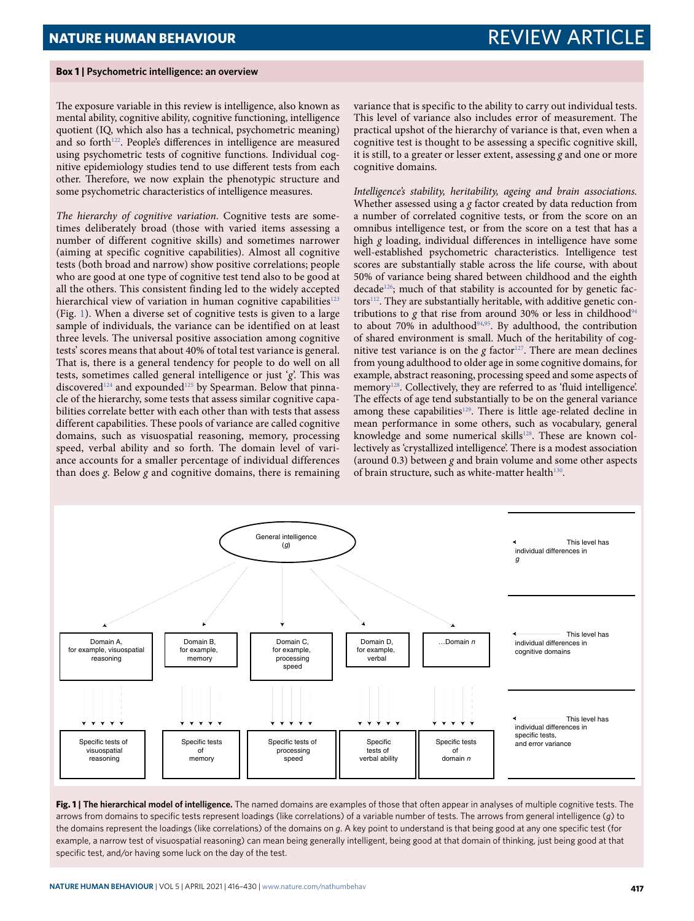### <span id="page-1-0"></span>**Box 1 | Psychometric intelligence: an overview**

The exposure variable in this review is intelligence, also known as mental ability, cognitive ability, cognitive functioning, intelligence quotient (IQ, which also has a technical, psychometric meaning) and so forth<sup>[122](#page-14-0)</sup>. People's differences in intelligence are measured using psychometric tests of cognitive functions. Individual cognitive epidemiology studies tend to use different tests from each other. Therefore, we now explain the phenotypic structure and some psychometric characteristics of intelligence measures.

The hierarchy of cognitive variation. Cognitive tests are sometimes deliberately broad (those with varied items assessing a number of different cognitive skills) and sometimes narrower (aiming at specific cognitive capabilities). Almost all cognitive tests (both broad and narrow) show positive correlations; people who are good at one type of cognitive test tend also to be good at all the others. This consistent finding led to the widely accepted hierarchical view of variation in human cognitive capabilities $123$ (Fig. [1\)](#page-1-1). When a diverse set of cognitive tests is given to a large sample of individuals, the variance can be identified on at least three levels. The universal positive association among cognitive tests' scores means that about 40% of total test variance is general. That is, there is a general tendency for people to do well on all tests, sometimes called general intelligence or just 'g'. This was discovered<sup>[124](#page-14-2)</sup> and expounded<sup>[125](#page-14-3)</sup> by Spearman. Below that pinnacle of the hierarchy, some tests that assess similar cognitive capabilities correlate better with each other than with tests that assess different capabilities. These pools of variance are called cognitive domains, such as visuospatial reasoning, memory, processing speed, verbal ability and so forth. The domain level of variance accounts for a smaller percentage of individual differences than does  $\varrho$ . Below  $\varrho$  and cognitive domains, there is remaining

variance that is specific to the ability to carry out individual tests. This level of variance also includes error of measurement. The practical upshot of the hierarchy of variance is that, even when a cognitive test is thought to be assessing a specific cognitive skill, it is still, to a greater or lesser extent, assessing  $g$  and one or more cognitive domains.

Intelligence's stability, heritability, ageing and brain associations. Whether assessed using a g factor created by data reduction from a number of correlated cognitive tests, or from the score on an omnibus intelligence test, or from the score on a test that has a high  $g$  loading, individual differences in intelligence have some well-established psychometric characteristics. Intelligence test scores are substantially stable across the life course, with about 50% of variance being shared between childhood and the eighth  $decade<sup>126</sup>$  $decade<sup>126</sup>$  $decade<sup>126</sup>$ ; much of that stability is accounted for by genetic fac-tors<sup>[112](#page-14-5)</sup>. They are substantially heritable, with additive genetic con-tributions to g that rise from around 30% or less in childhood<sup>[94](#page-13-0)</sup> to about  $70\%$  in adulthood<sup>[94,](#page-13-0)[95](#page-13-1)</sup>. By adulthood, the contribution of shared environment is small. Much of the heritability of cognitive test variance is on the  $g$  factor<sup>[127](#page-14-6)</sup>. There are mean declines from young adulthood to older age in some cognitive domains, for example, abstract reasoning, processing speed and some aspects of memory<sup>[128](#page-14-7)</sup>. Collectively, they are referred to as 'fluid intelligence'. The effects of age tend substantially to be on the general variance among these capabilities<sup>[129](#page-14-8)</sup>. There is little age-related decline in mean performance in some others, such as vocabulary, general knowledge and some numerical skills<sup>[128](#page-14-7)</sup>. These are known collectively as 'crystallized intelligence'. There is a modest association (around  $0.3$ ) between g and brain volume and some other aspects of brain structure, such as white-matter health<sup>[130](#page-14-9)</sup>.



<span id="page-1-1"></span>**Fig. 1 | the hierarchical model of intelligence.** The named domains are examples of those that often appear in analyses of multiple cognitive tests. The arrows from domains to specific tests represent loadings (like correlations) of a variable number of tests. The arrows from general intelligence (*g*) to the domains represent the loadings (like correlations) of the domains on *g*. A key point to understand is that being good at any one specific test (for example, a narrow test of visuospatial reasoning) can mean being generally intelligent, being good at that domain of thinking, just being good at that specific test, and/or having some luck on the day of the test.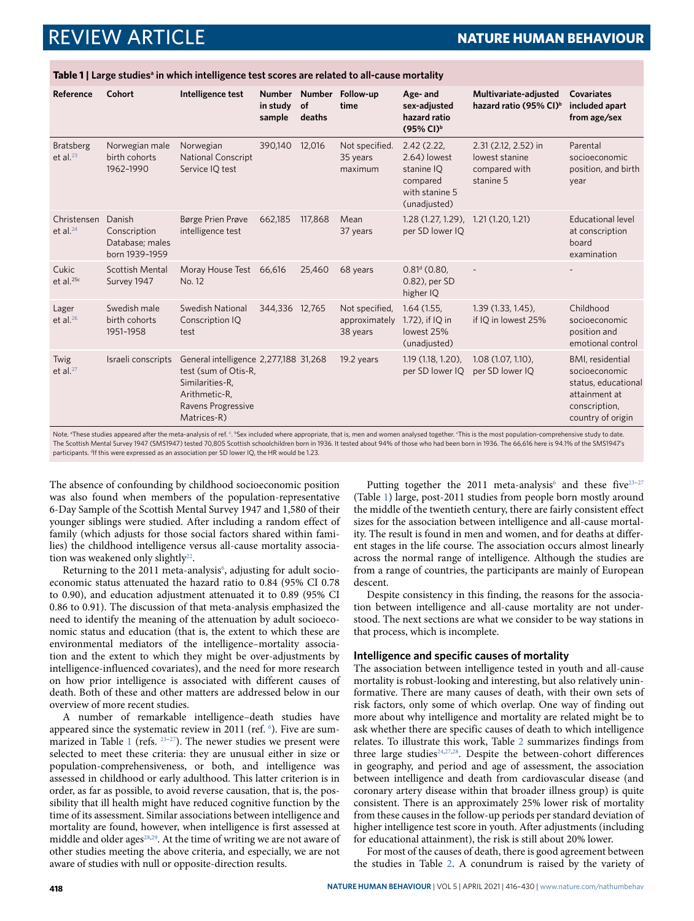<span id="page-2-0"></span>**Table 1 | Large studies<sup>a</sup> in which intelligence test scores are related to all-cause mortality**

| Reference                       | Cohort                                                      | Intelligence test                                                                                                                             | <b>Number</b><br>in study<br>sample | <b>Number</b><br>of<br>deaths | Follow-up<br>time                           | Age- and<br>sex-adjusted<br>hazard ratio<br>(95% CI) <sup>b</sup>                      | Multivariate-adjusted<br>hazard ratio (95% CI) <sup>b</sup>                                                                                                                                                                       | <b>Covariates</b><br>included apart<br>from age/sex                                                                     |
|---------------------------------|-------------------------------------------------------------|-----------------------------------------------------------------------------------------------------------------------------------------------|-------------------------------------|-------------------------------|---------------------------------------------|----------------------------------------------------------------------------------------|-----------------------------------------------------------------------------------------------------------------------------------------------------------------------------------------------------------------------------------|-------------------------------------------------------------------------------------------------------------------------|
| <b>Bratsberg</b><br>et al. $23$ | Norwegian male<br>birth cohorts<br>1962-1990                | Norwegian<br><b>National Conscript</b><br>Service IQ test                                                                                     | 390,140                             | 12,016                        | Not specified.<br>35 years<br>maximum       | 2.42(2.22,<br>2.64) lowest<br>stanine IO<br>compared<br>with stanine 5<br>(unadjusted) | 2.31 (2.12, 2.52) in<br>lowest stanine<br>compared with<br>stanine 5                                                                                                                                                              | Parental<br>socioeconomic<br>position, and birth<br>year                                                                |
| Christensen<br>et al. $24$      | Danish<br>Conscription<br>Database; males<br>born 1939-1959 | Børge Prien Prøve<br>intelligence test                                                                                                        | 662,185                             | 117,868                       | Mean<br>37 years                            | 1.28 (1.27, 1.29), 1.21 (1.20, 1.21)<br>per SD lower IQ                                |                                                                                                                                                                                                                                   | Educational level<br>at conscription<br>board<br>examination                                                            |
| Cukic<br>et al. <sup>25c</sup>  | Scottish Mental<br>Survey 1947                              | Moray House Test 66,616<br>No. 12                                                                                                             |                                     | 25.460                        | 68 years                                    | $0.81d$ (0.80,<br>0.82), per SD<br>higher IQ                                           |                                                                                                                                                                                                                                   |                                                                                                                         |
| Lager<br>et al. $26$            | Swedish male<br>birth cohorts<br>1951-1958                  | <b>Swedish National</b><br>Conscription IQ<br>test                                                                                            | 344,336 12,765                      |                               | Not specified,<br>approximately<br>38 years | 1.64(1.55,<br>1.72), if IQ in<br>lowest 25%<br>(unadjusted)                            | $1.39(1.33, 1.45)$ ,<br>if IQ in lowest 25%                                                                                                                                                                                       | Childhood<br>socioeconomic<br>position and<br>emotional control                                                         |
| Twig<br>et al. $27$             | Israeli conscripts                                          | General intelligence 2,277,188 31,268<br>test (sum of Otis-R,<br>Similarities-R,<br>Arithmetic-R,<br><b>Ravens Progressive</b><br>Matrices-R) |                                     |                               | 19.2 years                                  | 1.19 (1.18, 1.20),<br>per SD lower IQ                                                  | 1.08 (1.07, 1.10),<br>per SD lower IQ                                                                                                                                                                                             | <b>BMI</b> , residential<br>socioeconomic<br>status, educational<br>attainment at<br>conscription,<br>country of origin |
|                                 |                                                             |                                                                                                                                               |                                     |                               |                                             |                                                                                        | Note <sup>a</sup> These studies appeared after the meta-applysis of ref <sup>6</sup> <sup>b</sup> Sev included where appropriate that is men and women applysed together "This is the most population-comprehensive study to date |                                                                                                                         |

Note. <sup>a</sup>These studies appeared after the meta-analysis of ref. <sup>[6](#page-12-3)</sup> . **BSex included where appropriate, that is, men and women analysed together. This is the most population-comprehensive study to date.** The Scottish Mental Survey 1947 (SMS1947) tested 70,805 Scottish schoolchildren born in 1936. It tested about 94% of those who had been born in 1936. The 66,616 here is 94.1% of the SMS1947's participants. <sup>d</sup>If this were expressed as an association per SD lower IQ, the HR would be 1.23.

The absence of confounding by childhood socioeconomic position was also found when members of the population-representative 6-Day Sample of the Scottish Mental Survey 1947 and 1,580 of their younger siblings were studied. After including a random effect of family (which adjusts for those social factors shared within families) the childhood intelligence versus all-cause mortality associa-tion was weakened only slightly<sup>[22](#page-12-16)</sup>.

Returning to the 2011 meta-analysis<sup>[6](#page-12-3)</sup>, adjusting for adult socioeconomic status attenuated the hazard ratio to 0.84 (95% CI 0.78 to 0.90), and education adjustment attenuated it to 0.89 (95% CI 0.86 to 0.91). The discussion of that meta-analysis emphasized the need to identify the meaning of the attenuation by adult socioeconomic status and education (that is, the extent to which these are environmental mediators of the intelligence–mortality association and the extent to which they might be over-adjustments by intelligence-influenced covariates), and the need for more research on how prior intelligence is associated with different causes of death. Both of these and other matters are addressed below in our overview of more recent studies.

A number of remarkable intelligence–death studies have appeared since the systematic review in 2011 (ref. <sup>[6](#page-12-3)</sup>). Five are sum-marized in Table [1](#page-2-0) (refs. <sup>[23](#page-12-17)-[27](#page-12-18)</sup>). The newer studies we present were selected to meet these criteria: they are unusual either in size or population-comprehensiveness, or both, and intelligence was assessed in childhood or early adulthood. This latter criterion is in order, as far as possible, to avoid reverse causation, that is, the possibility that ill health might have reduced cognitive function by the time of its assessment. Similar associations between intelligence and mortality are found, however, when intelligence is first assessed at middle and older ages<sup>[28,](#page-12-19)[29](#page-12-20)</sup>. At the time of writing we are not aware of other studies meeting the above criteria, and especially, we are not aware of studies with null or opposite-direction results.

Putting together the 2011 meta-analysis<sup>[6](#page-12-3)</sup> and these five<sup>23-[27](#page-12-18)</sup> (Table [1\)](#page-2-0) large, post-2011 studies from people born mostly around the middle of the twentieth century, there are fairly consistent effect sizes for the association between intelligence and all-cause mortality. The result is found in men and women, and for deaths at different stages in the life course. The association occurs almost linearly across the normal range of intelligence. Although the studies are from a range of countries, the participants are mainly of European descent.

Despite consistency in this finding, the reasons for the association between intelligence and all-cause mortality are not understood. The next sections are what we consider to be way stations in that process, which is incomplete.

### **Intelligence and specific causes of mortality**

The association between intelligence tested in youth and all-cause mortality is robust-looking and interesting, but also relatively uninformative. There are many causes of death, with their own sets of risk factors, only some of which overlap. One way of finding out more about why intelligence and mortality are related might be to ask whether there are specific causes of death to which intelligence relates. To illustrate this work, Table [2](#page-3-0) summarizes findings from three large studies<sup>[24,](#page-12-21)[27](#page-12-18)[,28](#page-12-19)</sup>. Despite the between-cohort differences in geography, and period and age of assessment, the association between intelligence and death from cardiovascular disease (and coronary artery disease within that broader illness group) is quite consistent. There is an approximately 25% lower risk of mortality from these causes in the follow-up periods per standard deviation of higher intelligence test score in youth. After adjustments (including for educational attainment), the risk is still about 20% lower.

For most of the causes of death, there is good agreement between the studies in Table [2](#page-3-0). A conundrum is raised by the variety of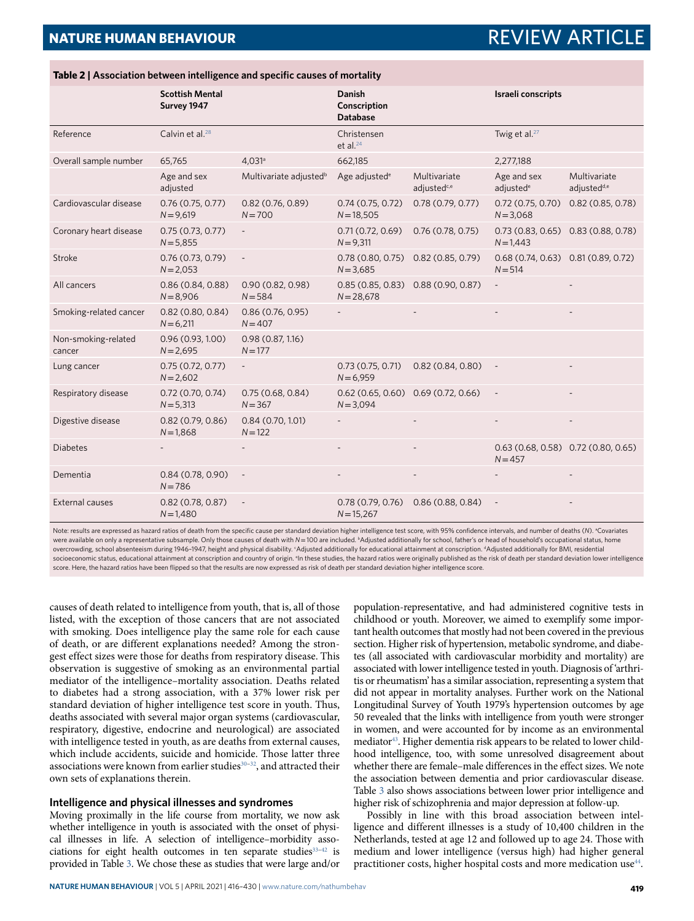|                               | <b>Scottish Mental</b><br>Survey 1947 |                                    | <b>Danish</b><br>Conscription<br><b>Database</b>       |                                         | Israeli conscripts                                   |                                         |
|-------------------------------|---------------------------------------|------------------------------------|--------------------------------------------------------|-----------------------------------------|------------------------------------------------------|-----------------------------------------|
| Reference                     | Calvin et al. <sup>28</sup>           |                                    | Christensen<br>et al. $24$                             |                                         | Twig et al. $27$                                     |                                         |
| Overall sample number         | 65,765                                | 4.031a                             | 662,185                                                |                                         | 2,277,188                                            |                                         |
|                               | Age and sex<br>adjusted               | Multivariate adjusted <sup>b</sup> | Age adjusted <sup>e</sup>                              | Multivariate<br>adjusted <sup>c,e</sup> | Age and sex<br>adjusted <sup>e</sup>                 | Multivariate<br>adjusted <sup>d,e</sup> |
| Cardiovascular disease        | 0.76(0.75, 0.77)<br>$N = 9,619$       | 0.82(0.76, 0.89)<br>$N = 700$      | 0.74(0.75, 0.72)<br>$N = 18,505$                       | 0.78(0.79, 0.77)                        | 0.72(0.75, 0.70)<br>$N = 3,068$                      | 0.82(0.85, 0.78)                        |
| Coronary heart disease        | 0.75(0.73, 0.77)<br>$N = 5,855$       |                                    | 0.71(0.72, 0.69)<br>$N = 9,311$                        | 0.76(0.78, 0.75)                        | $0.73(0.83, 0.65)$ $0.83(0.88, 0.78)$<br>$N = 1,443$ |                                         |
| Stroke                        | 0.76(0.73, 0.79)<br>$N = 2,053$       | $\overline{\phantom{a}}$           | 0.78(0.80, 0.75)<br>$N = 3,685$                        | 0.82(0.85, 0.79)                        | 0.68(0.74, 0.63)<br>$N = 514$                        | 0.81(0.89, 0.72)                        |
| All cancers                   | 0.86(0.84, 0.88)<br>$N = 8,906$       | 0.90(0.82, 0.98)<br>$N = 584$      | 0.85(0.85, 0.83)<br>$N = 28,678$                       | 0.88(0.90, 0.87)                        | $\overline{\phantom{0}}$                             |                                         |
| Smoking-related cancer        | 0.82(0.80, 0.84)<br>$N = 6,211$       | 0.86(0.76, 0.95)<br>$N = 407$      |                                                        |                                         |                                                      |                                         |
| Non-smoking-related<br>cancer | 0.96(0.93, 1.00)<br>$N = 2,695$       | 0.98(0.87, 1.16)<br>$N = 177$      |                                                        |                                         |                                                      |                                         |
| Lung cancer                   | 0.75(0.72, 0.77)<br>$N = 2,602$       | $\overline{\phantom{a}}$           | 0.73(0.75, 0.71)<br>$N = 6,959$                        | 0.82(0.84, 0.80)                        | $\overline{\phantom{a}}$                             |                                         |
| Respiratory disease           | 0.72(0.70, 0.74)<br>$N = 5,313$       | 0.75(0.68, 0.84)<br>$N = 367$      | $0.62$ (0.65, 0.60) $0.69$ (0.72, 0.66)<br>$N = 3,094$ |                                         | $\overline{\phantom{a}}$                             |                                         |
| Digestive disease             | 0.82(0.79, 0.86)<br>$N = 1,868$       | 0.84(0.70, 1.01)<br>$N = 122$      |                                                        |                                         |                                                      |                                         |
| <b>Diabetes</b>               |                                       |                                    | $\overline{\phantom{a}}$                               |                                         | $0.63(0.68, 0.58)$ $0.72(0.80, 0.65)$<br>$N = 457$   |                                         |
| Dementia                      | 0.84(0.78, 0.90)<br>$N = 786$         | $\overline{\phantom{a}}$           |                                                        |                                         |                                                      |                                         |
| External causes               | 0.82(0.78, 0.87)<br>$N = 1,480$       |                                    | 0.78(0.79, 0.76)<br>$N = 15,267$                       | 0.86(0.88, 0.84)                        |                                                      |                                         |

<span id="page-3-0"></span>**Table 2 | Association between intelligence and specific causes of mortality** 

Note: results are expressed as hazard ratios of death from the specific cause per standard deviation higher intelligence test score, with 95% confidence intervals, and number of deaths (*N*). <sup>a</sup>Covariates were available on only a representative subsample. Only those causes of death with *N*=100 are included. <sup>b</sup>Adjusted additionally for school, father's or head of household's occupational status, home overcrowding, school absenteeism during 1946-1947, height and physical disability. <sup>c</sup>Adjusted additionally for educational attainment at conscription. <sup>4</sup>Adjusted additionally for BMI, residential socioeconomic status, educational attainment at conscription and country of origin. <sup>e</sup>In these studies, the hazard ratios were originally published as the risk of death per standard deviation lower intelligence score. Here, the hazard ratios have been flipped so that the results are now expressed as risk of death per standard deviation higher intelligence score.

causes of death related to intelligence from youth, that is, all of those listed, with the exception of those cancers that are not associated with smoking. Does intelligence play the same role for each cause of death, or are different explanations needed? Among the strongest effect sizes were those for deaths from respiratory disease. This observation is suggestive of smoking as an environmental partial mediator of the intelligence–mortality association. Deaths related to diabetes had a strong association, with a 37% lower risk per standard deviation of higher intelligence test score in youth. Thus, deaths associated with several major organ systems (cardiovascular, respiratory, digestive, endocrine and neurological) are associated with intelligence tested in youth, as are deaths from external causes, which include accidents, suicide and homicide. Those latter three associations were known from earlier studies<sup>30-[32](#page-12-24)</sup>, and attracted their own sets of explanations therein.

### **Intelligence and physical illnesses and syndromes**

Moving proximally in the life course from mortality, we now ask whether intelligence in youth is associated with the onset of physical illnesses in life. A selection of intelligence–morbidity asso-ciations for eight health outcomes in ten separate studies<sup>[33](#page-12-25)-42</sup> is provided in Table [3.](#page-5-0) We chose these as studies that were large and/or

population-representative, and had administered cognitive tests in childhood or youth. Moreover, we aimed to exemplify some important health outcomes that mostly had not been covered in the previous section. Higher risk of hypertension, metabolic syndrome, and diabetes (all associated with cardiovascular morbidity and mortality) are associated with lower intelligence tested in youth. Diagnosis of 'arthritis or rheumatism' has a similar association, representing a system that did not appear in mortality analyses. Further work on the National Longitudinal Survey of Youth 1979's hypertension outcomes by age 50 revealed that the links with intelligence from youth were stronger in women, and were accounted for by income as an environmental mediator<sup>[43](#page-12-27)</sup>. Higher dementia risk appears to be related to lower childhood intelligence, too, with some unresolved disagreement about whether there are female–male differences in the effect sizes. We note the association between dementia and prior cardiovascular disease. Table [3](#page-5-0) also shows associations between lower prior intelligence and higher risk of schizophrenia and major depression at follow-up.

Possibly in line with this broad association between intelligence and different illnesses is a study of 10,400 children in the Netherlands, tested at age 12 and followed up to age 24. Those with medium and lower intelligence (versus high) had higher general practitioner costs, higher hospital costs and more medication use<sup>[44](#page-12-28)</sup>.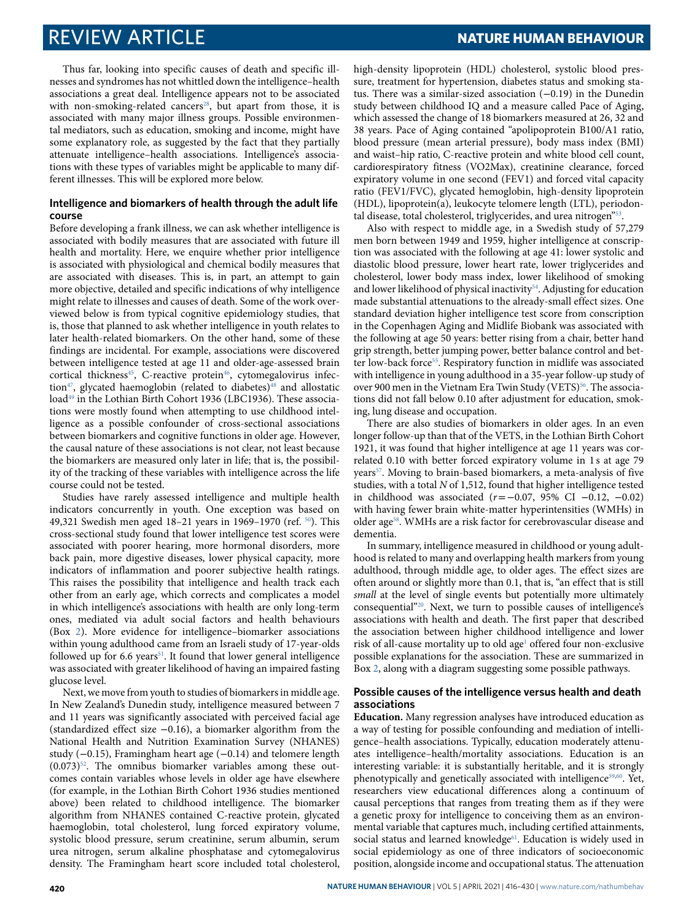Thus far, looking into specific causes of death and specific illnesses and syndromes has not whittled down the intelligence–health associations a great deal. Intelligence appears not to be associated with non-smoking-related cancers<sup>[28](#page-12-19)</sup>, but apart from those, it is associated with many major illness groups. Possible environmental mediators, such as education, smoking and income, might have some explanatory role, as suggested by the fact that they partially attenuate intelligence–health associations. Intelligence's associations with these types of variables might be applicable to many different illnesses. This will be explored more below.

### **Intelligence and biomarkers of health through the adult life course**

Before developing a frank illness, we can ask whether intelligence is associated with bodily measures that are associated with future ill health and mortality. Here, we enquire whether prior intelligence is associated with physiological and chemical bodily measures that are associated with diseases. This is, in part, an attempt to gain more objective, detailed and specific indications of why intelligence might relate to illnesses and causes of death. Some of the work overviewed below is from typical cognitive epidemiology studies, that is, those that planned to ask whether intelligence in youth relates to later health-related biomarkers. On the other hand, some of these findings are incidental. For example, associations were discovered between intelligence tested at age 11 and older-age-assessed brain cortical thickness<sup>[45](#page-12-29)</sup>, C-reactive protein<sup>[46](#page-12-30)</sup>, cytomegalovirus infec-tion<sup>[47](#page-12-31)</sup>, glycated haemoglobin (related to diabetes)<sup>[48](#page-13-2)</sup> and allostatic load<sup>[49](#page-13-3)</sup> in the Lothian Birth Cohort 1936 (LBC1936). These associations were mostly found when attempting to use childhood intelligence as a possible confounder of cross-sectional associations between biomarkers and cognitive functions in older age. However, the causal nature of these associations is not clear, not least because the biomarkers are measured only later in life; that is, the possibility of the tracking of these variables with intelligence across the life course could not be tested.

Studies have rarely assessed intelligence and multiple health indicators concurrently in youth. One exception was based on 49,321 Swedish men aged 18–21 years in 1969–1970 (ref. [50](#page-13-4)). This cross-sectional study found that lower intelligence test scores were associated with poorer hearing, more hormonal disorders, more back pain, more digestive diseases, lower physical capacity, more indicators of inflammation and poorer subjective health ratings. This raises the possibility that intelligence and health track each other from an early age, which corrects and complicates a model in which intelligence's associations with health are only long-term ones, mediated via adult social factors and health behaviours (Box [2](#page-6-0)). More evidence for intelligence–biomarker associations within young adulthood came from an Israeli study of 17-year-olds followed up for 6.6 years<sup>[51](#page-13-5)</sup>. It found that lower general intelligence was associated with greater likelihood of having an impaired fasting glucose level.

Next, we move from youth to studies of biomarkers in middle age. In New Zealand's Dunedin study, intelligence measured between 7 and 11 years was significantly associated with perceived facial age (standardized effect size −0.16), a biomarker algorithm from the National Health and Nutrition Examination Survey (NHANES) study (−0.15), Framingham heart age (−0.14) and telomere length  $(0.073)^{52}$  $(0.073)^{52}$  $(0.073)^{52}$ . The omnibus biomarker variables among these outcomes contain variables whose levels in older age have elsewhere (for example, in the Lothian Birth Cohort 1936 studies mentioned above) been related to childhood intelligence. The biomarker algorithm from NHANES contained C-reactive protein, glycated haemoglobin, total cholesterol, lung forced expiratory volume, systolic blood pressure, serum creatinine, serum albumin, serum urea nitrogen, serum alkaline phosphatase and cytomegalovirus density. The Framingham heart score included total cholesterol,

high-density lipoprotein (HDL) cholesterol, systolic blood pressure, treatment for hypertension, diabetes status and smoking status. There was a similar-sized association (−0.19) in the Dunedin study between childhood IQ and a measure called Pace of Aging, which assessed the change of 18 biomarkers measured at 26, 32 and 38 years. Pace of Aging contained "apolipoprotein B100/A1 ratio, blood pressure (mean arterial pressure), body mass index (BMI) and waist–hip ratio, C-reactive protein and white blood cell count, cardiorespiratory fitness (VO2Max), creatinine clearance, forced expiratory volume in one second (FEV1) and forced vital capacity ratio (FEV1/FVC), glycated hemoglobin, high-density lipoprotein (HDL), lipoprotein(a), leukocyte telomere length (LTL), periodon-tal disease, total cholesterol, triglycerides, and urea nitrogen"<sup>[53](#page-13-7)</sup>.

Also with respect to middle age, in a Swedish study of 57,279 men born between 1949 and 1959, higher intelligence at conscription was associated with the following at age 41: lower systolic and diastolic blood pressure, lower heart rate, lower triglycerides and cholesterol, lower body mass index, lower likelihood of smoking and lower likelihood of physical inactivity<sup>[54](#page-13-8)</sup>. Adjusting for education made substantial attenuations to the already-small effect sizes. One standard deviation higher intelligence test score from conscription in the Copenhagen Aging and Midlife Biobank was associated with the following at age 50 years: better rising from a chair, better hand grip strength, better jumping power, better balance control and bet-ter low-back force<sup>[55](#page-13-9)</sup>. Respiratory function in midlife was associated with intelligence in young adulthood in a 35-year follow-up study of over 900 men in the Vietnam Era Twin Study (VETS)<sup>[56](#page-13-10)</sup>. The associations did not fall below 0.10 after adjustment for education, smoking, lung disease and occupation.

There are also studies of biomarkers in older ages. In an even longer follow-up than that of the VETS, in the Lothian Birth Cohort 1921, it was found that higher intelligence at age 11 years was correlated 0.10 with better forced expiratory volume in 1 s at age 79 years<sup>[57](#page-13-11)</sup>. Moving to brain-based biomarkers, a meta-analysis of five studies, with a total  $N$  of 1,512, found that higher intelligence tested in childhood was associated ( $r = -0.07$ , 95% CI −0.12, −0.02) with having fewer brain white-matter hyperintensities (WMHs) in older age<sup>[58](#page-13-12)</sup>. WMHs are a risk factor for cerebrovascular disease and dementia.

In summary, intelligence measured in childhood or young adulthood is related to many and overlapping health markers from young adulthood, through middle age, to older ages. The effect sizes are often around or slightly more than 0.1, that is, "an effect that is still small at the level of single events but potentially more ultimately consequential"[20](#page-12-14). Next, we turn to possible causes of intelligence's associations with health and death. The first paper that described the association between higher childhood intelligence and lower risk of all-cause mortality up to old age<sup>[1](#page-12-0)</sup> offered four non-exclusive possible explanations for the association. These are summarized in Box [2,](#page-6-0) along with a diagram suggesting some possible pathways.

### **Possible causes of the intelligence versus health and death associations**

**Education.** Many regression analyses have introduced education as a way of testing for possible confounding and mediation of intelligence–health associations. Typically, education moderately attenuates intelligence–health/mortality associations. Education is an interesting variable: it is substantially heritable, and it is strongly phenotypically and genetically associated with intelligence<sup>[59,](#page-13-13)[60](#page-13-14)</sup>. Yet, researchers view educational differences along a continuum of causal perceptions that ranges from treating them as if they were a genetic proxy for intelligence to conceiving them as an environmental variable that captures much, including certified attainments, social status and learned knowledge<sup>[61](#page-13-15)</sup>. Education is widely used in social epidemiology as one of three indicators of socioeconomic position, alongside income and occupational status. The attenuation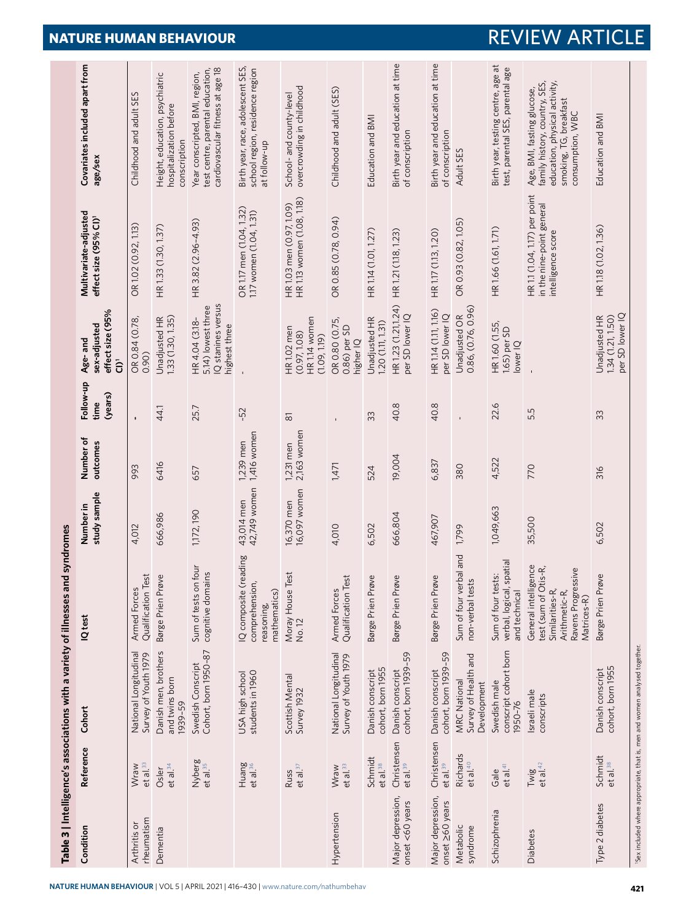|                                      |                                     |                                                                            | Table 3   Intelligence's associations with a variety of illnesses and syndromes                                       |                            |                            |                              |                                                                             |                                                                                  |                                                                                                                                            |
|--------------------------------------|-------------------------------------|----------------------------------------------------------------------------|-----------------------------------------------------------------------------------------------------------------------|----------------------------|----------------------------|------------------------------|-----------------------------------------------------------------------------|----------------------------------------------------------------------------------|--------------------------------------------------------------------------------------------------------------------------------------------|
| Condition                            | Reference                           | Cohort                                                                     | IQ test                                                                                                               | study sample<br>Number in  | Number of<br>outcomes      | Follow-up<br>(years)<br>time | effect size (95%<br>sex-adjusted<br>Age-and<br>ົ້ວ                          | Multivariate-adjusted<br>effect size (95% CI) <sup>1</sup>                       | Covariates included apart from<br>age/sex                                                                                                  |
| rheumatism<br>Arthritis or           | et al. <sup>33</sup><br>Wraw        | National Longitudinal<br>Survey of Youth 1979                              | Qualification Test<br>Armed Forces                                                                                    | 4,012                      | 993                        | $\mathbf{I}$                 | OR 0.84 (0.78,<br>0.90)                                                     | OR 1.02 (0.92, 1.13)                                                             | Childhood and adult SES                                                                                                                    |
| Dementia                             | et al. <sup>34</sup><br>Osler       | Danish men, brothers<br>and twins born<br>1939-59                          | Børge Prien Prøve                                                                                                     | 666,986                    | 6416                       | 44.1                         | Unadjusted HR<br>1.33 (1.30, 1.35)                                          | HR 1.33 (1.30, 1.37)                                                             | Height, education, psychiatric<br>hospitalization before<br>conscription                                                                   |
|                                      | Nyberg<br>et al. <sup>35</sup>      | Cohort, born 1950-87<br>Swedish Conscript                                  | four<br>cognitive domains<br>Sum of tests on                                                                          | 1,172, 190                 | 657                        | 25.7                         | IQ stanines versus<br>5.14) lowest three<br>HR 4.04 (3.18-<br>highest three | HR 3.82 (2.96-4.93)                                                              | cardiovascular fitness at age 18<br>test centre, parental education,<br>Year conscripted, BMI, region,                                     |
|                                      | Huang<br>et al. <sup>36</sup>       | students in 1960<br>USA high school                                        | IQ composite (reading<br>comprehension,<br>mathematics)<br>reasoning,                                                 | 42,749 women<br>43,014 men | 1,416 women<br>1,239 men   | -52                          |                                                                             | OR 1.17 men (1.04, 1.32)<br>1.17 women (1.04, 1.31)                              | Birth year, race, adolescent SES,<br>school region, residence region<br>at follow-up                                                       |
|                                      | et al. <sup>37</sup><br>Russ        | Scottish Mental<br>Survey 1932                                             | Moray House Test<br>No. 12                                                                                            | 16,370 men<br>16,097 women | 2,163 women<br>$1,231$ men | $\overline{\infty}$          | HR 1.14 women<br>HR <sub>1.02</sub> men<br>(0.97, 1.08)<br>(1.09, 1.19)     | HR 1.13 women (1.08, 1.18)<br>HR 1.03 men (0.97, 1.09)                           | overcrowding in childhood<br>School- and county-level                                                                                      |
| Hypertension                         | Wraw<br>et al. <sup>33</sup>        | National Longitudinal<br>Survey of Youth 1979                              | Armed Forces<br>Qualification Test                                                                                    | 4,010                      | 1,471                      |                              | OR 0.80 (0.75,<br>0.86) per SD<br>higher IQ                                 | OR 0.85 (0.78, 0.94)                                                             | Childhood and adult (SES)                                                                                                                  |
|                                      | Schmidt<br>et al. <sup>38</sup>     | cohort, born 1955<br>Danish conscript                                      | Børge Prien Prøve                                                                                                     | 6,502                      | 524                        | 33                           | Unadjusted HR<br>1.20 (1.11, 1.31)                                          | HR 1.14 (1.01, 1.27)                                                             | Education and BMI                                                                                                                          |
| Major depression,<br>onset <60 years | Christensen<br>et al. <sup>39</sup> | cohort, born 1939-59<br>Danish conscript                                   | Børge Prien Prøve                                                                                                     | 666,804                    | 19,004                     | 40.8                         | HR 1.23 (1.21,1.24)<br>per SD lower IQ                                      | HR 1.21 (1.18, 1.23)                                                             | Birth year and education at time<br>of conscription                                                                                        |
| Major depression,<br>onset 260 years | Christensen<br>et al. <sup>39</sup> | cohort, born 1939-59<br>Danish conscript                                   | Børge Prien Prøve                                                                                                     | 467,907                    | 6,837                      | 40.8                         | HR 1.14 (1.11, 1.16)<br>per SD lower IQ                                     | HR 1.17 (1.13, 1.20)                                                             | Birth year and education at time<br>of conscription                                                                                        |
| Metabolic<br>syndrome                | Richards<br>et al. <sup>40</sup>    | Survey of Health and<br><b>MRC National</b><br>Development                 | bal and<br>non-verbal tests<br>Sum of four ver                                                                        | 1,799                      | 380                        |                              | 0.86, (0.76, 0.96)<br>Unadjusted OR                                         | OR 0.93 (0.82, 1.05)                                                             | Adult SES                                                                                                                                  |
| Schizophrenia                        | et al. <sup>41</sup><br>Gale        | conscript cohort born<br>Swedish male<br>1950-76                           | verbal, logical, spatial<br>Sum of four tests:<br>and technical                                                       | 1,049,663                  | 4,522                      | 22.6                         | HR 1.60 (1.55,<br>1.65) per SD<br>lower IQ                                  | HR 1.66 (1.61, 1.71)                                                             | Birth year, testing centre, age at<br>test, parental SES, parental age                                                                     |
| Diabetes                             | et al. $42$<br>Twig                 | Israeli male<br>conscripts                                                 | General intelligence<br>test (sum of Otis-R,<br>Ravens Progressive<br>Similarities-R,<br>Arithmetic-R,<br>Matrices-R) | 35,500                     | 770                        | 5.5                          |                                                                             | HR 1.1 (1.04, 1.17) per point<br>in the nine-point general<br>intelligence score | education, physical activity,<br>family history, country, SES,<br>Age, BMI, fasting glucose,<br>smoking, TG, breakfast<br>consumption, WBC |
| Type 2 diabetes                      | Schmidt<br>et al. <sup>38</sup>     | Danish conscript<br>cohort, born 1955                                      | Børge Prien Prøve                                                                                                     | 6,502                      | 316                        | 33                           | per SD lower IQ<br>Unadjusted HR<br>1.34 (1.21, 1.50)                       | HR 1.18 (1.02, 1.36)                                                             | Education and BMI                                                                                                                          |
|                                      |                                     | 'Sex included where appropriate, that is, men and women analysed together. |                                                                                                                       |                            |                            |                              |                                                                             |                                                                                  |                                                                                                                                            |

## <span id="page-5-0"></span>**NATURE HUMAN BEHAVIOUR** | VOL 5 | APRIL 2021 | 416-430 | [www.nature.com/nathumbehav](http://www.nature.com/nathumbehav) **421**

# **NATURE HUMAN BEHAVIOUR REVIEW ARTICLE**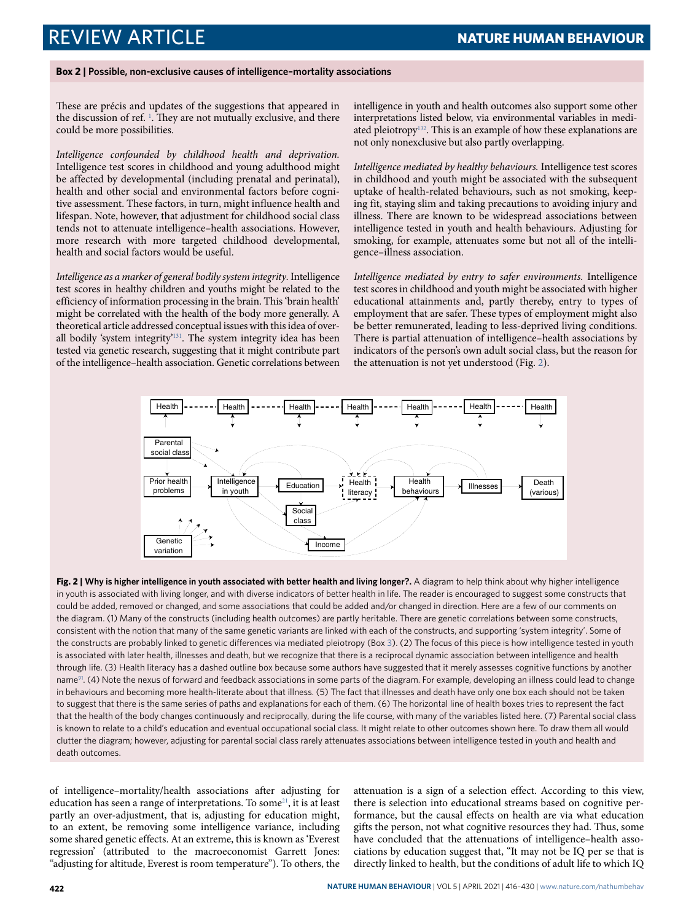### <span id="page-6-0"></span>**Box 2 | Possible, non-exclusive causes of intelligence–mortality associations**

These are précis and updates of the suggestions that appeared in the discussion of ref.  $\frac{1}{2}$  $\frac{1}{2}$  $\frac{1}{2}$ . They are not mutually exclusive, and there could be more possibilities.

Intelligence confounded by childhood health and deprivation. Intelligence test scores in childhood and young adulthood might be affected by developmental (including prenatal and perinatal), health and other social and environmental factors before cognitive assessment. These factors, in turn, might influence health and lifespan. Note, however, that adjustment for childhood social class tends not to attenuate intelligence–health associations. However, more research with more targeted childhood developmental, health and social factors would be useful.

Intelligence as a marker of general bodily system integrity. Intelligence test scores in healthy children and youths might be related to the efficiency of information processing in the brain. This 'brain health' might be correlated with the health of the body more generally. A theoretical article addressed conceptual issues with this idea of overall bodily 'system integrity'[131](#page-14-10). The system integrity idea has been tested via genetic research, suggesting that it might contribute part of the intelligence–health association. Genetic correlations between

intelligence in youth and health outcomes also support some other interpretations listed below, via environmental variables in medi-ated pleiotropy<sup>[132](#page-14-11)</sup>. This is an example of how these explanations are not only nonexclusive but also partly overlapping.

Intelligence mediated by healthy behaviours. Intelligence test scores in childhood and youth might be associated with the subsequent uptake of health-related behaviours, such as not smoking, keeping fit, staying slim and taking precautions to avoiding injury and illness. There are known to be widespread associations between intelligence tested in youth and health behaviours. Adjusting for smoking, for example, attenuates some but not all of the intelligence–illness association.

Intelligence mediated by entry to safer environments. Intelligence test scores in childhood and youth might be associated with higher educational attainments and, partly thereby, entry to types of employment that are safer. These types of employment might also be better remunerated, leading to less-deprived living conditions. There is partial attenuation of intelligence–health associations by indicators of the person's own adult social class, but the reason for the attenuation is not yet understood (Fig. [2](#page-6-1)).



<span id="page-6-1"></span>**Fig. 2 | Why is higher intelligence in youth associated with better health and living longer?.** A diagram to help think about why higher intelligence in youth is associated with living longer, and with diverse indicators of better health in life. The reader is encouraged to suggest some constructs that could be added, removed or changed, and some associations that could be added and/or changed in direction. Here are a few of our comments on the diagram. (1) Many of the constructs (including health outcomes) are partly heritable. There are genetic correlations between some constructs, consistent with the notion that many of the same genetic variants are linked with each of the constructs, and supporting 'system integrity'. Some of the constructs are probably linked to genetic differences via mediated pleiotropy (Box [3\)](#page-7-0). (2) The focus of this piece is how intelligence tested in youth is associated with later health, illnesses and death, but we recognize that there is a reciprocal dynamic association between intelligence and health through life. (3) Health literacy has a dashed outline box because some authors have suggested that it merely assesses cognitive functions by another name<sup>[91](#page-13-16)</sup>. (4) Note the nexus of forward and feedback associations in some parts of the diagram. For example, developing an illness could lead to change in behaviours and becoming more health-literate about that illness. (5) The fact that illnesses and death have only one box each should not be taken to suggest that there is the same series of paths and explanations for each of them. (6) The horizontal line of health boxes tries to represent the fact that the health of the body changes continuously and reciprocally, during the life course, with many of the variables listed here. (7) Parental social class is known to relate to a child's education and eventual occupational social class. It might relate to other outcomes shown here. To draw them all would clutter the diagram; however, adjusting for parental social class rarely attenuates associations between intelligence tested in youth and health and death outcomes.

of intelligence–mortality/health associations after adjusting for education has seen a range of interpretations. To some<sup>[21](#page-12-15)</sup>, it is at least partly an over-adjustment, that is, adjusting for education might, to an extent, be removing some intelligence variance, including some shared genetic effects. At an extreme, this is known as 'Everest regression' (attributed to the macroeconomist Garrett Jones: "adjusting for altitude, Everest is room temperature"). To others, the attenuation is a sign of a selection effect. According to this view, there is selection into educational streams based on cognitive performance, but the causal effects on health are via what education gifts the person, not what cognitive resources they had. Thus, some have concluded that the attenuations of intelligence–health associations by education suggest that, "It may not be IQ per se that is directly linked to health, but the conditions of adult life to which IQ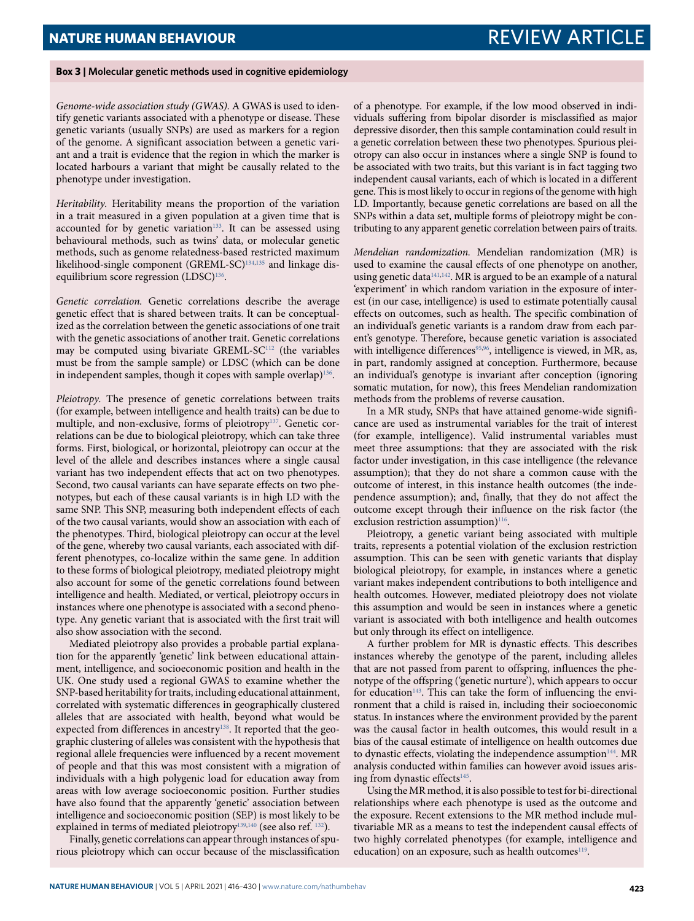### <span id="page-7-0"></span>**Box 3 | molecular genetic methods used in cognitive epidemiology**

Genome-wide association study (GWAS). A GWAS is used to identify genetic variants associated with a phenotype or disease. These genetic variants (usually SNPs) are used as markers for a region of the genome. A significant association between a genetic variant and a trait is evidence that the region in which the marker is located harbours a variant that might be causally related to the phenotype under investigation.

Heritability. Heritability means the proportion of the variation in a trait measured in a given population at a given time that is accounted for by genetic variation<sup>[133](#page-14-12)</sup>. It can be assessed using behavioural methods, such as twins' data, or molecular genetic methods, such as genome relatedness-based restricted maximum likelihood-single component (GREML-SC)<sup>[134](#page-14-13),[135](#page-14-14)</sup> and linkage dis-equilibrium score regression (LDSC)<sup>[136](#page-14-15)</sup>.

Genetic correlation. Genetic correlations describe the average genetic effect that is shared between traits. It can be conceptualized as the correlation between the genetic associations of one trait with the genetic associations of another trait. Genetic correlations may be computed using bivariate GREML-SC<sup>[112](#page-14-5)</sup> (the variables must be from the sample sample) or LDSC (which can be done in independent samples, though it copes with sample overlap) $^{136}$  $^{136}$  $^{136}$ .

Pleiotropy. The presence of genetic correlations between traits (for example, between intelligence and health traits) can be due to multiple, and non-exclusive, forms of pleiotropy<sup>[137](#page-14-16)</sup>. Genetic correlations can be due to biological pleiotropy, which can take three forms. First, biological, or horizontal, pleiotropy can occur at the level of the allele and describes instances where a single causal variant has two independent effects that act on two phenotypes. Second, two causal variants can have separate effects on two phenotypes, but each of these causal variants is in high LD with the same SNP. This SNP, measuring both independent effects of each of the two causal variants, would show an association with each of the phenotypes. Third, biological pleiotropy can occur at the level of the gene, whereby two causal variants, each associated with different phenotypes, co-localize within the same gene. In addition to these forms of biological pleiotropy, mediated pleiotropy might also account for some of the genetic correlations found between intelligence and health. Mediated, or vertical, pleiotropy occurs in instances where one phenotype is associated with a second phenotype. Any genetic variant that is associated with the first trait will also show association with the second.

Mediated pleiotropy also provides a probable partial explanation for the apparently 'genetic' link between educational attainment, intelligence, and socioeconomic position and health in the UK. One study used a regional GWAS to examine whether the SNP-based heritability for traits, including educational attainment, correlated with systematic differences in geographically clustered alleles that are associated with health, beyond what would be expected from differences in ancestry<sup>[138](#page-14-17)</sup>. It reported that the geographic clustering of alleles was consistent with the hypothesis that regional allele frequencies were influenced by a recent movement of people and that this was most consistent with a migration of individuals with a high polygenic load for education away from areas with low average socioeconomic position. Further studies have also found that the apparently 'genetic' association between intelligence and socioeconomic position (SEP) is most likely to be explained in terms of mediated pleiotropy<sup>[139](#page-14-18),[140](#page-14-19)</sup> (see also ref. <sup>[132](#page-14-11)</sup>).

Finally, genetic correlations can appear through instances of spurious pleiotropy which can occur because of the misclassification of a phenotype. For example, if the low mood observed in individuals suffering from bipolar disorder is misclassified as major depressive disorder, then this sample contamination could result in a genetic correlation between these two phenotypes. Spurious pleiotropy can also occur in instances where a single SNP is found to be associated with two traits, but this variant is in fact tagging two independent causal variants, each of which is located in a different gene. This is most likely to occur in regions of the genome with high LD. Importantly, because genetic correlations are based on all the SNPs within a data set, multiple forms of pleiotropy might be contributing to any apparent genetic correlation between pairs of traits.

Mendelian randomization. Mendelian randomization (MR) is used to examine the causal effects of one phenotype on another, using genetic data<sup>[141,](#page-14-20)[142](#page-14-21)</sup>. MR is argued to be an example of a natural 'experiment' in which random variation in the exposure of interest (in our case, intelligence) is used to estimate potentially causal effects on outcomes, such as health. The specific combination of an individual's genetic variants is a random draw from each parent's genotype. Therefore, because genetic variation is associated with intelligence differences<sup>[95,](#page-13-1)[96](#page-13-17)</sup>, intelligence is viewed, in MR, as, in part, randomly assigned at conception. Furthermore, because an individual's genotype is invariant after conception (ignoring somatic mutation, for now), this frees Mendelian randomization methods from the problems of reverse causation.

In a MR study, SNPs that have attained genome-wide significance are used as instrumental variables for the trait of interest (for example, intelligence). Valid instrumental variables must meet three assumptions: that they are associated with the risk factor under investigation, in this case intelligence (the relevance assumption); that they do not share a common cause with the outcome of interest, in this instance health outcomes (the independence assumption); and, finally, that they do not affect the outcome except through their influence on the risk factor (the exclusion restriction assumption)<sup>[116](#page-14-22)</sup>.

Pleiotropy, a genetic variant being associated with multiple traits, represents a potential violation of the exclusion restriction assumption. This can be seen with genetic variants that display biological pleiotropy, for example, in instances where a genetic variant makes independent contributions to both intelligence and health outcomes. However, mediated pleiotropy does not violate this assumption and would be seen in instances where a genetic variant is associated with both intelligence and health outcomes but only through its effect on intelligence.

A further problem for MR is dynastic effects. This describes instances whereby the genotype of the parent, including alleles that are not passed from parent to offspring, influences the phenotype of the offspring ('genetic nurture'), which appears to occur for education<sup>[143](#page-14-23)</sup>. This can take the form of influencing the environment that a child is raised in, including their socioeconomic status. In instances where the environment provided by the parent was the causal factor in health outcomes, this would result in a bias of the causal estimate of intelligence on health outcomes due to dynastic effects, violating the independence assumption<sup>[144](#page-14-24)</sup>. MR analysis conducted within families can however avoid issues aris-ing from dynastic effects<sup>[145](#page-14-25)</sup>.

Using the MR method, it is also possible to test for bi-directional relationships where each phenotype is used as the outcome and the exposure. Recent extensions to the MR method include multivariable MR as a means to test the independent causal effects of two highly correlated phenotypes (for example, intelligence and education) on an exposure, such as health outcomes<sup>[119](#page-14-26)</sup>.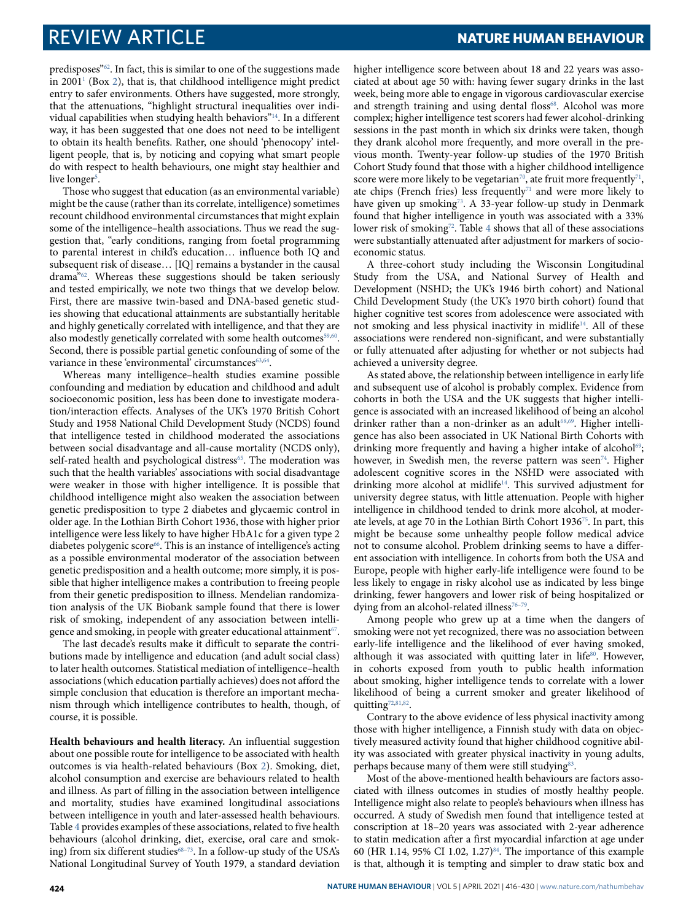predisposes"[62](#page-13-18). In fact, this is similar to one of the suggestions made in 2001[1](#page-12-0) (Box [2](#page-6-0)), that is, that childhood intelligence might predict entry to safer environments. Others have suggested, more strongly, that the attenuations, "highlight structural inequalities over individual capabilities when studying health behaviors"[14](#page-12-10). In a different way, it has been suggested that one does not need to be intelligent to obtain its health benefits. Rather, one should 'phenocopy' intelligent people, that is, by noticing and copying what smart people do with respect to health behaviours, one might stay healthier and live longer<sup>[5](#page-12-2)</sup>.

Those who suggest that education (as an environmental variable) might be the cause (rather than its correlate, intelligence) sometimes recount childhood environmental circumstances that might explain some of the intelligence–health associations. Thus we read the suggestion that, "early conditions, ranging from foetal programming to parental interest in child's education… influence both IQ and subsequent risk of disease… [IQ] remains a bystander in the causal drama"[62](#page-13-18). Whereas these suggestions should be taken seriously and tested empirically, we note two things that we develop below. First, there are massive twin-based and DNA-based genetic studies showing that educational attainments are substantially heritable and highly genetically correlated with intelligence, and that they are also modestly genetically correlated with some health outcomes<sup>[59](#page-13-13)[,60](#page-13-14)</sup>. Second, there is possible partial genetic confounding of some of the variance in these 'environmental' circumstances<sup>[63,](#page-13-19)[64](#page-13-20)</sup>.

Whereas many intelligence–health studies examine possible confounding and mediation by education and childhood and adult socioeconomic position, less has been done to investigate moderation/interaction effects. Analyses of the UK's 1970 British Cohort Study and 1958 National Child Development Study (NCDS) found that intelligence tested in childhood moderated the associations between social disadvantage and all-cause mortality (NCDS only), self-rated health and psychological distress<sup>[65](#page-13-21)</sup>. The moderation was such that the health variables' associations with social disadvantage were weaker in those with higher intelligence. It is possible that childhood intelligence might also weaken the association between genetic predisposition to type 2 diabetes and glycaemic control in older age. In the Lothian Birth Cohort 1936, those with higher prior intelligence were less likely to have higher HbA1c for a given type 2 diabetes polygenic score<sup>[66](#page-13-22)</sup>. This is an instance of intelligence's acting as a possible environmental moderator of the association between genetic predisposition and a health outcome; more simply, it is possible that higher intelligence makes a contribution to freeing people from their genetic predisposition to illness. Mendelian randomization analysis of the UK Biobank sample found that there is lower risk of smoking, independent of any association between intelligence and smoking, in people with greater educational attainment $^{\scriptscriptstyle 67}.$  $^{\scriptscriptstyle 67}.$  $^{\scriptscriptstyle 67}.$ 

The last decade's results make it difficult to separate the contributions made by intelligence and education (and adult social class) to later health outcomes. Statistical mediation of intelligence–health associations (which education partially achieves) does not afford the simple conclusion that education is therefore an important mechanism through which intelligence contributes to health, though, of course, it is possible.

**Health behaviours and health literacy.** An influential suggestion about one possible route for intelligence to be associated with health outcomes is via health-related behaviours (Box [2\)](#page-6-0). Smoking, diet, alcohol consumption and exercise are behaviours related to health and illness. As part of filling in the association between intelligence and mortality, studies have examined longitudinal associations between intelligence in youth and later-assessed health behaviours. Table [4](#page-11-0) provides examples of these associations, related to five health behaviours (alcohol drinking, diet, exercise, oral care and smok-ing) from six different studies<sup>68-[73](#page-13-25)</sup>. In a follow-up study of the USA's National Longitudinal Survey of Youth 1979, a standard deviation

higher intelligence score between about 18 and 22 years was associated at about age 50 with: having fewer sugary drinks in the last week, being more able to engage in vigorous cardiovascular exercise and strength training and using dental floss<sup>[68](#page-13-24)</sup>. Alcohol was more complex; higher intelligence test scorers had fewer alcohol-drinking sessions in the past month in which six drinks were taken, though they drank alcohol more frequently, and more overall in the previous month. Twenty-year follow-up studies of the 1970 British Cohort Study found that those with a higher childhood intelligence score were more likely to be vegetarian<sup>[70](#page-13-26)</sup>, ate fruit more frequently<sup>[71](#page-13-27)</sup>, ate chips (French fries) less frequently $71$  and were more likely to have given up smoking<sup>[73](#page-13-25)</sup>. A 33-year follow-up study in Denmark found that higher intelligence in youth was associated with a 33% lower risk of smoking<sup>[72](#page-13-28)</sup>. Table [4](#page-11-0) shows that all of these associations were substantially attenuated after adjustment for markers of socioeconomic status.

A three-cohort study including the Wisconsin Longitudinal Study from the USA, and National Survey of Health and Development (NSHD; the UK's 1946 birth cohort) and National Child Development Study (the UK's 1970 birth cohort) found that higher cognitive test scores from adolescence were associated with not smoking and less physical inactivity in midlife<sup>[14](#page-12-10)</sup>. All of these associations were rendered non-significant, and were substantially or fully attenuated after adjusting for whether or not subjects had achieved a university degree.

As stated above, the relationship between intelligence in early life and subsequent use of alcohol is probably complex. Evidence from cohorts in both the USA and the UK suggests that higher intelligence is associated with an increased likelihood of being an alcohol drinker rather than a non-drinker as an adult<sup>[68](#page-13-24),[69](#page-13-29)</sup>. Higher intelligence has also been associated in UK National Birth Cohorts with drinking more frequently and having a higher intake of alcohol<sup>[69](#page-13-29)</sup>; however, in Swedish men, the reverse pattern was seen<sup>[74](#page-13-30)</sup>. Higher adolescent cognitive scores in the NSHD were associated with drinking more alcohol at midlife[14](#page-12-10). This survived adjustment for university degree status, with little attenuation. People with higher intelligence in childhood tended to drink more alcohol, at moderate levels, at age 70 in the Lothian Birth Cohort 1936[75](#page-13-31). In part, this might be because some unhealthy people follow medical advice not to consume alcohol. Problem drinking seems to have a different association with intelligence. In cohorts from both the USA and Europe, people with higher early-life intelligence were found to be less likely to engage in risky alcohol use as indicated by less binge drinking, fewer hangovers and lower risk of being hospitalized or dying from an alcohol-related illness<sup>[76](#page-13-32)-79</sup>.

Among people who grew up at a time when the dangers of smoking were not yet recognized, there was no association between early-life intelligence and the likelihood of ever having smoked, although it was associated with quitting later in life $80$ . However, in cohorts exposed from youth to public health information about smoking, higher intelligence tends to correlate with a lower likelihood of being a current smoker and greater likelihood of quitting<sup>[72](#page-13-28),[81,](#page-13-35)[82](#page-13-36)</sup>.

Contrary to the above evidence of less physical inactivity among those with higher intelligence, a Finnish study with data on objectively measured activity found that higher childhood cognitive ability was associated with greater physical inactivity in young adults, perhaps because many of them were still studying<sup>[83](#page-13-37)</sup>.

Most of the above-mentioned health behaviours are factors associated with illness outcomes in studies of mostly healthy people. Intelligence might also relate to people's behaviours when illness has occurred. A study of Swedish men found that intelligence tested at conscription at 18–20 years was associated with 2-year adherence to statin medication after a first myocardial infarction at age under 60 (HR 1.14, 95% CI 1.02, 1.27)[84](#page-13-38). The importance of this example is that, although it is tempting and simpler to draw static box and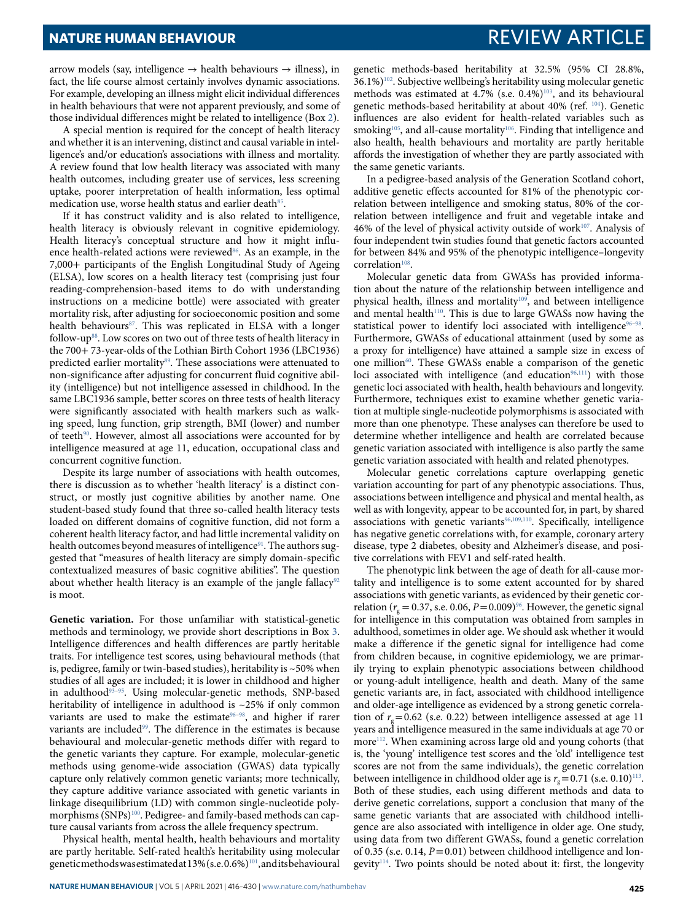arrow models (say, intelligence  $\rightarrow$  health behaviours  $\rightarrow$  illness), in fact, the life course almost certainly involves dynamic associations. For example, developing an illness might elicit individual differences in health behaviours that were not apparent previously, and some of those individual differences might be related to intelligence (Box [2\)](#page-6-0).

A special mention is required for the concept of health literacy and whether it is an intervening, distinct and causal variable in intelligence's and/or education's associations with illness and mortality. A review found that low health literacy was associated with many health outcomes, including greater use of services, less screening uptake, poorer interpretation of health information, less optimal medication use, worse health status and earlier death<sup>[85](#page-13-39)</sup>.

If it has construct validity and is also related to intelligence, health literacy is obviously relevant in cognitive epidemiology. Health literacy's conceptual structure and how it might influ-ence health-related actions were reviewed<sup>[86](#page-13-40)</sup>. As an example, in the 7,000+ participants of the English Longitudinal Study of Ageing (ELSA), low scores on a health literacy test (comprising just four reading-comprehension-based items to do with understanding instructions on a medicine bottle) were associated with greater mortality risk, after adjusting for socioeconomic position and some health behaviours<sup>[87](#page-13-41)</sup>. This was replicated in ELSA with a longer follow-up<sup>[88](#page-13-42)</sup>. Low scores on two out of three tests of health literacy in the 700+ 73-year-olds of the Lothian Birth Cohort 1936 (LBC1936) predicted earlier mortality<sup>[89](#page-13-43)</sup>. These associations were attenuated to non-significance after adjusting for concurrent fluid cognitive ability (intelligence) but not intelligence assessed in childhood. In the same LBC1936 sample, better scores on three tests of health literacy were significantly associated with health markers such as walking speed, lung function, grip strength, BMI (lower) and number of teeth<sup>[90](#page-13-44)</sup>. However, almost all associations were accounted for by intelligence measured at age 11, education, occupational class and concurrent cognitive function.

Despite its large number of associations with health outcomes, there is discussion as to whether 'health literacy' is a distinct construct, or mostly just cognitive abilities by another name. One student-based study found that three so-called health literacy tests loaded on different domains of cognitive function, did not form a coherent health literacy factor, and had little incremental validity on health outcomes beyond measures of intelligence<sup>[91](#page-13-16)</sup>. The authors suggested that "measures of health literacy are simply domain-specific contextualized measures of basic cognitive abilities". The question about whether health literacy is an example of the jangle fallacy<sup>[92](#page-13-45)</sup> is moot.

**Genetic variation.** For those unfamiliar with statistical-genetic methods and terminology, we provide short descriptions in Box [3.](#page-7-0) Intelligence differences and health differences are partly heritable traits. For intelligence test scores, using behavioural methods (that is, pedigree, family or twin-based studies), heritability is  $\sim$  50% when studies of all ages are included; it is lower in childhood and higher in adulthood<sup>93-[95](#page-13-1)</sup>. Using molecular-genetic methods, SNP-based heritability of intelligence in adulthood is ~25% if only common variants are used to make the estimate<sup>[96](#page-13-17)-98</sup>, and higher if rarer variants are included<sup>[99](#page-13-48)</sup>. The difference in the estimates is because behavioural and molecular-genetic methods differ with regard to the genetic variants they capture. For example, molecular-genetic methods using genome-wide association (GWAS) data typically capture only relatively common genetic variants; more technically, they capture additive variance associated with genetic variants in linkage disequilibrium (LD) with common single-nucleotide poly-morphisms (SNPs)<sup>[100](#page-13-49)</sup>. Pedigree- and family-based methods can capture causal variants from across the allele frequency spectrum.

Physical health, mental health, health behaviours and mortality are partly heritable. Self-rated health's heritability using molecular genetic methods was estimated at 13% (s.e. 0.6%)<sup>[101](#page-13-50)</sup>, and its behavioural

genetic methods-based heritability at 32.5% (95% CI 28.8%, 36.1%)[102](#page-13-51). Subjective wellbeing's heritability using molecular genetic methods was estimated at 4.7% (s.e. 0.4%)<sup>[103](#page-14-27)</sup>, and its behavioural genetic methods-based heritability at about 40% (ref. [104](#page-14-28)). Genetic influences are also evident for health-related variables such as smoking<sup>[105](#page-14-29)</sup>, and all-cause mortality<sup>[106](#page-14-30)</sup>. Finding that intelligence and also health, health behaviours and mortality are partly heritable affords the investigation of whether they are partly associated with the same genetic variants.

In a pedigree-based analysis of the Generation Scotland cohort, additive genetic effects accounted for 81% of the phenotypic correlation between intelligence and smoking status, 80% of the correlation between intelligence and fruit and vegetable intake and 46% of the level of physical activity outside of work<sup>[107](#page-14-31)</sup>. Analysis of four independent twin studies found that genetic factors accounted for between 84% and 95% of the phenotypic intelligence–longevity correlation<sup>[108](#page-14-32)</sup>.

Molecular genetic data from GWASs has provided information about the nature of the relationship between intelligence and physical health, illness and mortality<sup>[109](#page-14-33)</sup>, and between intelligence and mental health<sup>[110](#page-14-34)</sup>. This is due to large GWASs now having the statistical power to identify loci associated with intelligence<sup>[96](#page-13-17)-98</sup>. Furthermore, GWASs of educational attainment (used by some as a proxy for intelligence) have attained a sample size in excess of one million<sup>[60](#page-13-14)</sup>. These GWASs enable a comparison of the genetic loci associated with intelligence (and education $96,111$  $96,111$ ) with those genetic loci associated with health, health behaviours and longevity. Furthermore, techniques exist to examine whether genetic variation at multiple single-nucleotide polymorphisms is associated with more than one phenotype. These analyses can therefore be used to determine whether intelligence and health are correlated because genetic variation associated with intelligence is also partly the same genetic variation associated with health and related phenotypes.

Molecular genetic correlations capture overlapping genetic variation accounting for part of any phenotypic associations. Thus, associations between intelligence and physical and mental health, as well as with longevity, appear to be accounted for, in part, by shared associations with genetic variants<sup>[96](#page-13-17),[109](#page-14-33),[110](#page-14-34)</sup>. Specifically, intelligence has negative genetic correlations with, for example, coronary artery disease, type 2 diabetes, obesity and Alzheimer's disease, and positive correlations with FEV1 and self-rated health.

The phenotypic link between the age of death for all-cause mortality and intelligence is to some extent accounted for by shared associations with genetic variants, as evidenced by their genetic correlation ( $r<sub>g</sub> = 0.37$ , s.e. 0.06,  $P = 0.009$ )<sup>[96](#page-13-17)</sup>. However, the genetic signal for intelligence in this computation was obtained from samples in adulthood, sometimes in older age. We should ask whether it would make a difference if the genetic signal for intelligence had come from children because, in cognitive epidemiology, we are primarily trying to explain phenotypic associations between childhood or young-adult intelligence, health and death. Many of the same genetic variants are, in fact, associated with childhood intelligence and older-age intelligence as evidenced by a strong genetic correlation of  $r<sub>g</sub>$  = 0.62 (s.e. 0.22) between intelligence assessed at age 11 years and intelligence measured in the same individuals at age 70 or more<sup>[112](#page-14-5)</sup>. When examining across large old and young cohorts (that is, the 'young' intelligence test scores and the 'old' intelligence test scores are not from the same individuals), the genetic correlation between intelligence in childhood older age is  $r_g$  = 0.71 (s.e. 0.10)<sup>[113](#page-14-36)</sup>. Both of these studies, each using different methods and data to derive genetic correlations, support a conclusion that many of the same genetic variants that are associated with childhood intelligence are also associated with intelligence in older age. One study, using data from two different GWASs, found a genetic correlation of 0.35 (s.e. 0.14,  $P = 0.01$ ) between childhood intelligence and lon-gevity<sup>[114](#page-14-37)</sup>. Two points should be noted about it: first, the longevity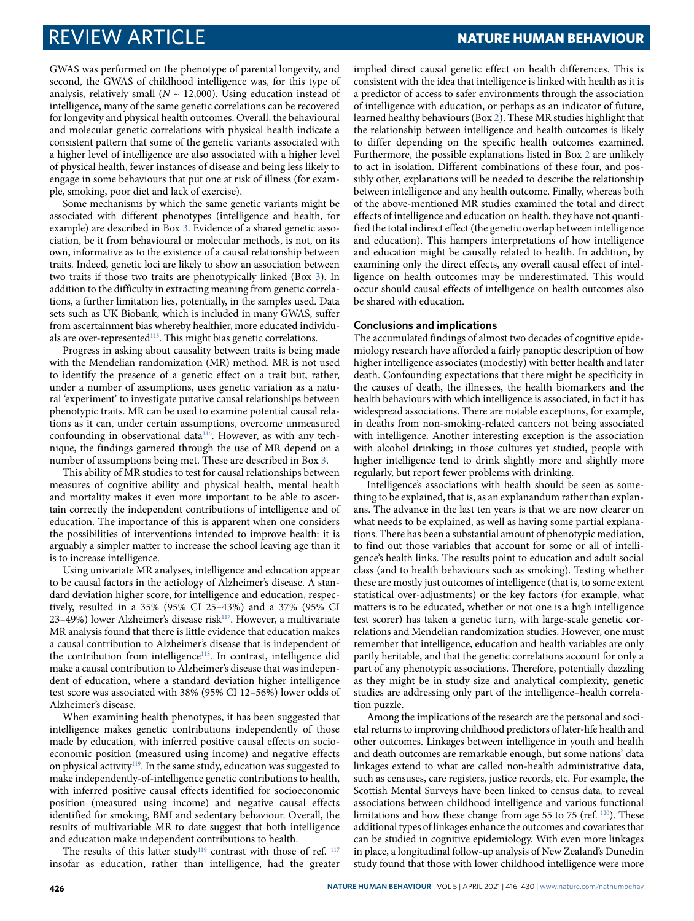GWAS was performed on the phenotype of parental longevity, and second, the GWAS of childhood intelligence was, for this type of analysis, relatively small ( $N \sim 12,000$ ). Using education instead of intelligence, many of the same genetic correlations can be recovered for longevity and physical health outcomes. Overall, the behavioural and molecular genetic correlations with physical health indicate a consistent pattern that some of the genetic variants associated with a higher level of intelligence are also associated with a higher level of physical health, fewer instances of disease and being less likely to engage in some behaviours that put one at risk of illness (for example, smoking, poor diet and lack of exercise).

Some mechanisms by which the same genetic variants might be associated with different phenotypes (intelligence and health, for example) are described in Box [3](#page-7-0). Evidence of a shared genetic association, be it from behavioural or molecular methods, is not, on its own, informative as to the existence of a causal relationship between traits. Indeed, genetic loci are likely to show an association between two traits if those two traits are phenotypically linked (Box [3](#page-7-0)). In addition to the difficulty in extracting meaning from genetic correlations, a further limitation lies, potentially, in the samples used. Data sets such as UK Biobank, which is included in many GWAS, suffer from ascertainment bias whereby healthier, more educated individu-als are over-represented<sup>[115](#page-14-38)</sup>. This might bias genetic correlations.

Progress in asking about causality between traits is being made with the Mendelian randomization (MR) method. MR is not used to identify the presence of a genetic effect on a trait but, rather, under a number of assumptions, uses genetic variation as a natural 'experiment' to investigate putative causal relationships between phenotypic traits. MR can be used to examine potential causal relations as it can, under certain assumptions, overcome unmeasured confounding in observational data<sup>[116](#page-14-22)</sup>. However, as with any technique, the findings garnered through the use of MR depend on a number of assumptions being met. These are described in Box [3](#page-7-0).

This ability of MR studies to test for causal relationships between measures of cognitive ability and physical health, mental health and mortality makes it even more important to be able to ascertain correctly the independent contributions of intelligence and of education. The importance of this is apparent when one considers the possibilities of interventions intended to improve health: it is arguably a simpler matter to increase the school leaving age than it is to increase intelligence.

Using univariate MR analyses, intelligence and education appear to be causal factors in the aetiology of Alzheimer's disease. A standard deviation higher score, for intelligence and education, respectively, resulted in a 35% (95% CI 25–43%) and a 37% (95% CI 23–49%) lower Alzheimer's disease risk $^{117}$  $^{117}$  $^{117}$ . However, a multivariate MR analysis found that there is little evidence that education makes a causal contribution to Alzheimer's disease that is independent of the contribution from intelligence<sup>[118](#page-14-40)</sup>. In contrast, intelligence did make a causal contribution to Alzheimer's disease that was independent of education, where a standard deviation higher intelligence test score was associated with 38% (95% CI 12–56%) lower odds of Alzheimer's disease.

When examining health phenotypes, it has been suggested that intelligence makes genetic contributions independently of those made by education, with inferred positive causal effects on socioeconomic position (measured using income) and negative effects on physical activity<sup>[119](#page-14-26)</sup>. In the same study, education was suggested to make independently-of-intelligence genetic contributions to health, with inferred positive causal effects identified for socioeconomic position (measured using income) and negative causal effects identified for smoking, BMI and sedentary behaviour. Overall, the results of multivariable MR to date suggest that both intelligence and education make independent contributions to health.

The results of this latter study<sup>[119](#page-14-26)</sup> contrast with those of ref.<sup>[117](#page-14-39)</sup> insofar as education, rather than intelligence, had the greater implied direct causal genetic effect on health differences. This is consistent with the idea that intelligence is linked with health as it is a predictor of access to safer environments through the association of intelligence with education, or perhaps as an indicator of future, learned healthy behaviours (Box [2\)](#page-6-0). These MR studies highlight that the relationship between intelligence and health outcomes is likely to differ depending on the specific health outcomes examined. Furthermore, the possible explanations listed in Box [2](#page-6-0) are unlikely to act in isolation. Different combinations of these four, and possibly other, explanations will be needed to describe the relationship between intelligence and any health outcome. Finally, whereas both of the above-mentioned MR studies examined the total and direct effects of intelligence and education on health, they have not quantified the total indirect effect (the genetic overlap between intelligence and education). This hampers interpretations of how intelligence and education might be causally related to health. In addition, by examining only the direct effects, any overall causal effect of intelligence on health outcomes may be underestimated. This would occur should causal effects of intelligence on health outcomes also be shared with education.

### **Conclusions and implications**

The accumulated findings of almost two decades of cognitive epidemiology research have afforded a fairly panoptic description of how higher intelligence associates (modestly) with better health and later death. Confounding expectations that there might be specificity in the causes of death, the illnesses, the health biomarkers and the health behaviours with which intelligence is associated, in fact it has widespread associations. There are notable exceptions, for example, in deaths from non-smoking-related cancers not being associated with intelligence. Another interesting exception is the association with alcohol drinking; in those cultures yet studied, people with higher intelligence tend to drink slightly more and slightly more regularly, but report fewer problems with drinking.

Intelligence's associations with health should be seen as something to be explained, that is, as an explanandum rather than explanans. The advance in the last ten years is that we are now clearer on what needs to be explained, as well as having some partial explanations. There has been a substantial amount of phenotypic mediation, to find out those variables that account for some or all of intelligence's health links. The results point to education and adult social class (and to health behaviours such as smoking). Testing whether these are mostly just outcomes of intelligence (that is, to some extent statistical over-adjustments) or the key factors (for example, what matters is to be educated, whether or not one is a high intelligence test scorer) has taken a genetic turn, with large-scale genetic correlations and Mendelian randomization studies. However, one must remember that intelligence, education and health variables are only partly heritable, and that the genetic correlations account for only a part of any phenotypic associations. Therefore, potentially dazzling as they might be in study size and analytical complexity, genetic studies are addressing only part of the intelligence–health correlation puzzle.

Among the implications of the research are the personal and societal returns to improving childhood predictors of later-life health and other outcomes. Linkages between intelligence in youth and health and death outcomes are remarkable enough, but some nations' data linkages extend to what are called non-health administrative data, such as censuses, care registers, justice records, etc. For example, the Scottish Mental Surveys have been linked to census data, to reveal associations between childhood intelligence and various functional limitations and how these change from age 55 to 75 (ref. [120](#page-14-41)). These additional types of linkages enhance the outcomes and covariates that can be studied in cognitive epidemiology. With even more linkages in place, a longitudinal follow-up analysis of New Zealand's Dunedin study found that those with lower childhood intelligence were more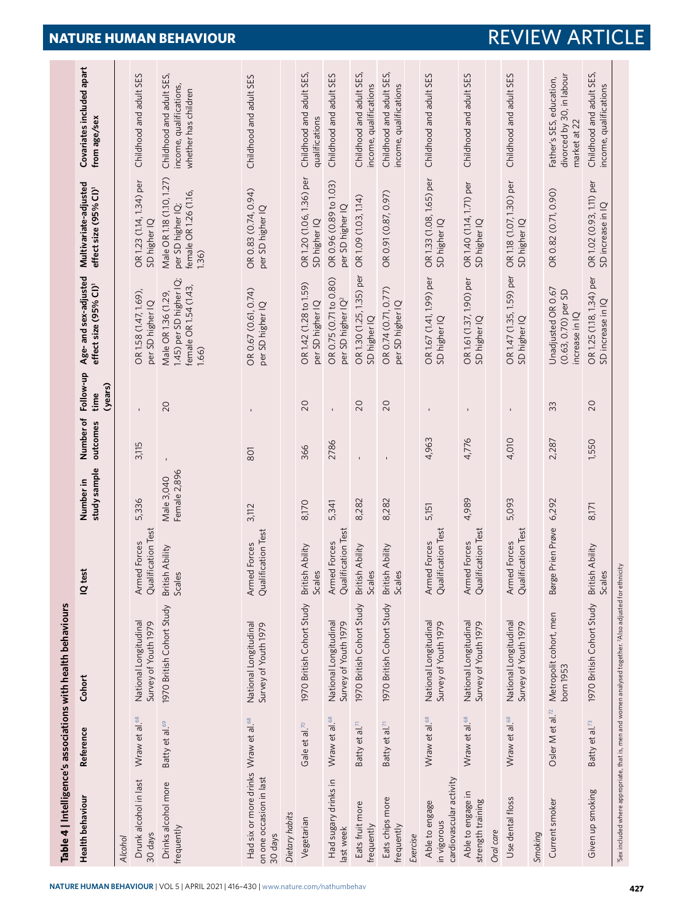<span id="page-11-0"></span>

|                                                                                        |                              | Table 4   Intelligence's associations with health behaviours                                                        |                                    |                            |                       |                              |                                                                                  |                                                                                  |                                                                             |
|----------------------------------------------------------------------------------------|------------------------------|---------------------------------------------------------------------------------------------------------------------|------------------------------------|----------------------------|-----------------------|------------------------------|----------------------------------------------------------------------------------|----------------------------------------------------------------------------------|-----------------------------------------------------------------------------|
| <b>Health behaviour</b>                                                                | Reference                    | Cohort                                                                                                              | IQ test                            | study sample<br>Number in  | Number of<br>outcomes | Follow-up<br>(years)<br>time | Age- and sex-adjusted<br>effect size (95% CI) <sup>1</sup>                       | Multivariate-adjusted<br>effect size (95% CI) <sup>1</sup>                       | Covariates included apart<br>from age/sex                                   |
| <b>Alcohol</b>                                                                         |                              |                                                                                                                     |                                    |                            |                       |                              |                                                                                  |                                                                                  |                                                                             |
| Drunk alcohol in last<br>30 days                                                       | Wraw et al. <sup>68</sup>    | National Longitudinal<br>Survey of Youth 1979                                                                       | Qualification Test<br>Armed Forces | 5,336                      | 3,115                 |                              | OR1.58 (1.47, 1.69)<br>per SD higher IQ                                          | OR 1.23 (1.14, 1.34) per<br>SD higher IQ                                         | Childhood and adult SES                                                     |
| Drinks alcohol more<br>frequently                                                      | Batty et al. <sup>69</sup>   | 1970 British Cohort Study                                                                                           | British Ability<br>Scales          | Female 2,896<br>Male 3,040 |                       | 20                           | 1.45) per SD higher IQ;<br>female OR 1.54 (1.43,<br>Male OR 1.36 (1.29,<br>1,66) | Male OR 1.18 (1.10, 1.27)<br>female OR 1.26 (1.16,<br>per SD higher IQ;<br>1.36) | Childhood and adult SES,<br>income, qualifications,<br>whether has children |
| Had six or more drinks Wraw et al. <sup>68</sup><br>on one occasion in last<br>30 days |                              | National Longitudinal<br>Survey of Youth 1979                                                                       | Qualification Test<br>Armed Forces | 3,112                      | 801                   |                              | OR 0.67 (0.61, 0.74)<br>per SD higher IQ                                         | OR 0.83 (0.74, 0.94)<br>per SD higher IQ                                         | Childhood and adult SES                                                     |
| Dietary habits                                                                         |                              |                                                                                                                     |                                    |                            |                       |                              |                                                                                  |                                                                                  |                                                                             |
| Vegetarian                                                                             | Gale et al. <sup>70</sup>    | 1970 British Cohort Study                                                                                           | British Ability<br>Scales          | 8,170                      | 366                   | 20                           | OR1.42 (1.28 to 1.59)<br>per SD higher IQ                                        | OR 1.20 (1.06, 1.36) per<br>SD higher IQ                                         | Childhood and adult SES,<br>qualifications                                  |
| Had sugary drinks in<br>last week                                                      | Wraw et al. <sup>68</sup>    | National Longitudinal<br>Survey of Youth 1979                                                                       | Qualification Test<br>Armed Forces | 5,341                      | 2786                  | Î.                           | OR 0.75 (0.71 to 0.80)<br>per SD higher IQ <sup>2</sup>                          | OR 0.96 (0.89 to 1.03)<br>per SD higher IQ                                       | Childhood and adult SES                                                     |
| Eats fruit more<br>frequently                                                          | Batty et al. <sup>71</sup>   | 1970 British Cohort Study                                                                                           | British Ability<br>Scales          | 8,282                      |                       | 20                           | OR1.30 (1.25, 1.35) per<br>SD higher IQ                                          | OR 1.09 (1.03, 1.14)                                                             | Childhood and adult SES,<br>income, qualifications                          |
| Eats chips more<br>frequently                                                          | Batty et al. <sup>71</sup>   | 1970 British Cohort Study                                                                                           | British Ability<br>မ္မ<br>5cd      | 8,282                      |                       | 20                           | OR 0.74 (0.71, 0.77)<br>per SD higher IQ                                         | OR 0.91 (0.87, 0.97)                                                             | Childhood and adult SES,<br>income, qualifications                          |
| Exercise                                                                               |                              |                                                                                                                     |                                    |                            |                       |                              |                                                                                  |                                                                                  |                                                                             |
| cardiovascular activity<br>Able to engage<br>in vigorous                               | Wraw et al. <sup>68</sup>    | National Longitudinal<br>Survey of Youth 1979                                                                       | Qualification Test<br>Armed Forces | 5,151                      | 4,963                 |                              | OR 1.67 (1.41, 1.99) per<br>SD higher IQ                                         | OR 1.33 (1.08, 1.65) per<br>SD higher IQ                                         | Childhood and adult SES                                                     |
| Able to engage in<br>strength training                                                 | Wraw et al. <sup>68</sup>    | National Longitudinal<br>Survey of Youth 1979                                                                       | Qualification Test<br>Armed Forces | 4,989                      | 4,776                 |                              | OR1.61 (1.37, 1.90) per<br>SD higher IQ                                          | OR 1.40 (1.14, 1.71) per<br>SD higher IQ                                         | Childhood and adult SES                                                     |
| Oral care                                                                              |                              |                                                                                                                     |                                    |                            |                       |                              |                                                                                  |                                                                                  |                                                                             |
| Use dental floss                                                                       | Wraw et al. <sup>68</sup>    | National Longitudinal<br>Survey of Youth 1979                                                                       | Qualification Test<br>Armed Forces | 5,093                      | 4,010                 |                              | OR 1.47 (1.35, 1.59) per<br>SD higher IQ                                         | OR 1.18 (1.07, 1.30) per<br>SD higher IQ                                         | Childhood and adult SES                                                     |
| Smoking                                                                                |                              |                                                                                                                     |                                    |                            |                       |                              |                                                                                  |                                                                                  |                                                                             |
| Current smoker                                                                         | Osler M et al. <sup>72</sup> | Metropolit cohort, men<br>born 1953                                                                                 | Børge Prien Prøve                  | 6,292                      | 2,287                 | 33                           | Unadjusted OR 0.67<br>(0.63, 0.70) per SD<br>increase in IQ                      | OR 0.82 (0.71, 0.90)                                                             | divorced by 30, in labour<br>Father's SES, education,<br>market at 22       |
| Given up smoking                                                                       | Batty et al. <sup>73</sup>   | 1970 British Cohort Study                                                                                           | British Ability<br>ΘS<br>Scale     | 8,171                      | 1,550                 | 20                           | OR 1.25 (1.18, 1.34) per<br>SD increase in IQ                                    | OR 1.02 (0.93, 1.11) per<br>SD increase in IQ                                    | Childhood and adult SES,<br>income, qualifications                          |
|                                                                                        |                              | 'Sex included where appropriate, that is, men and women analysed together. <sup>2</sup> Also adjusted for ethnicity |                                    |                            |                       |                              |                                                                                  |                                                                                  |                                                                             |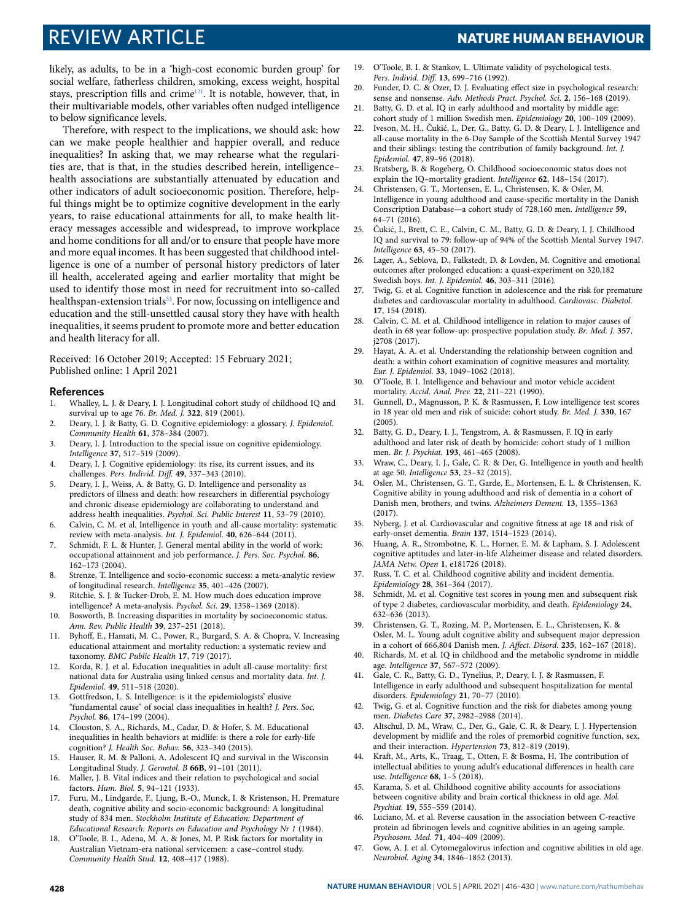likely, as adults, to be in a 'high-cost economic burden group' for social welfare, fatherless children, smoking, excess weight, hospital stays, prescription fills and crime<sup>[121](#page-14-42)</sup>. It is notable, however, that, in their multivariable models, other variables often nudged intelligence to below significance levels.

Therefore, with respect to the implications, we should ask: how can we make people healthier and happier overall, and reduce inequalities? In asking that, we may rehearse what the regularities are, that is that, in the studies described herein, intelligence– health associations are substantially attenuated by education and other indicators of adult socioeconomic position. Therefore, helpful things might be to optimize cognitive development in the early years, to raise educational attainments for all, to make health literacy messages accessible and widespread, to improve workplace and home conditions for all and/or to ensure that people have more and more equal incomes. It has been suggested that childhood intelligence is one of a number of personal history predictors of later ill health, accelerated ageing and earlier mortality that might be used to identify those most in need for recruitment into so-called healthspan-extension trials<sup>[53](#page-13-7)</sup>. For now, focussing on intelligence and education and the still-unsettled causal story they have with health inequalities, it seems prudent to promote more and better education and health literacy for all.

Received: 16 October 2019; Accepted: 15 February 2021; Published online: 1 April 2021

### **References**

- <span id="page-12-0"></span> 1. Whalley, L. J. & Deary, I. J. Longitudinal cohort study of childhood IQ and survival up to age 76. Br. Med. J. **322**, 819 (2001).
- <span id="page-12-1"></span> 2. Deary, I. J. & Batty, G. D. Cognitive epidemiology: a glossary. J. Epidemiol. Community Health **61**, 378–384 (2007).
- 3. Deary, I. J. Introduction to the special issue on cognitive epidemiology. Intelligence **37**, 517–519 (2009).
- 4. Deary, I. J. Cognitive epidemiology: its rise, its current issues, and its challenges. Pers. Individ. Diff. **49**, 337–343 (2010).
- <span id="page-12-2"></span> 5. Deary, I. J., Weiss, A. & Batty, G. D. Intelligence and personality as predictors of illness and death: how researchers in differential psychology and chronic disease epidemiology are collaborating to understand and address health inequalities. Psychol. Sci. Public Interest **11**, 53–79 (2010).
- <span id="page-12-3"></span> 6. Calvin, C. M. et al. Intelligence in youth and all-cause mortality: systematic review with meta-analysis. Int. J. Epidemiol. **40**, 626–644 (2011).
- <span id="page-12-4"></span> 7. Schmidt, F. L. & Hunter, J. General mental ability in the world of work: occupational attainment and job performance. J. Pers. Soc. Psychol. **86**, 162–173 (2004).
- <span id="page-12-5"></span> 8. Strenze, T. Intelligence and socio-economic success: a meta-analytic review of longitudinal research. Intelligence **35**, 401–426 (2007).
- <span id="page-12-6"></span> 9. Ritchie, S. J. & Tucker-Drob, E. M. How much does education improve intelligence? A meta-analysis. Psychol. Sci. **29**, 1358–1369 (2018).
- <span id="page-12-7"></span> 10. Bosworth, B. Increasing disparities in mortality by socioeconomic status. Ann. Rev. Public Health **39**, 237–251 (2018).
- 11. Byhoff, E., Hamati, M. C., Power, R., Burgard, S. A. & Chopra, V. Increasing educational attainment and mortality reduction: a systematic review and taxonomy. BMC Public Health **17**, 719 (2017).
- <span id="page-12-8"></span> 12. Korda, R. J. et al. Education inequalities in adult all-cause mortality: first national data for Australia using linked census and mortality data. Int. J. Epidemiol. **49**, 511–518 (2020).
- <span id="page-12-9"></span> 13. Gottfredson, L. S. Intelligence: is it the epidemiologists' elusive "fundamental cause" of social class inequalities in health? J. Pers. Soc. Psychol. **86**, 174–199 (2004).
- <span id="page-12-10"></span> 14. Clouston, S. A., Richards, M., Cadar, D. & Hofer, S. M. Educational inequalities in health behaviors at midlife: is there a role for early-life cognition? J. Health Soc. Behav. **56**, 323–340 (2015).
- <span id="page-12-11"></span> 15. Hauser, R. M. & Palloni, A. Adolescent IQ and survival in the Wisconsin Longitudinal Study. J. Gerontol. B **66B**, 91–101 (2011).
- <span id="page-12-12"></span> 16. Maller, J. B. Vital indices and their relation to psychological and social factors. Hum. Biol. **5**, 94–121 (1933).
- 17. Furu, M., Lindgarde, F., Ljung, B.-O., Munck, I. & Kristenson, H. Premature death, cognitive ability and socio-economic background: A longitudinal study of 834 men. Stockholm Institute of Education: Department of Educational Research: Reports on Education and Psychology Nr 1 (1984).
- 18. O'Toole, B. I., Adena, M. A. & Jones, M. P. Risk factors for mortality in Australian Vietnam-era national servicemen: a case–control study. Community Health Stud. **12**, 408–417 (1988).
- <span id="page-12-13"></span> 19. O'Toole, B. I. & Stankov, L. Ultimate validity of psychological tests. Pers. Individ. Diff. **13**, 699–716 (1992).
- <span id="page-12-14"></span> 20. Funder, D. C. & Ozer, D. J. Evaluating effect size in psychological research: sense and nonsense. Adv. Methods Pract. Psychol. Sci. **2**, 156–168 (2019).
- <span id="page-12-15"></span>21. Batty, G. D. et al. IQ in early adulthood and mortality by middle age: cohort study of 1 million Swedish men. Epidemiology **20**, 100–109 (2009).
- <span id="page-12-16"></span>Iveson, M. H., Čukić, I., Der, G., Batty, G. D. & Deary, I. J. Intelligence and all-cause mortality in the 6-Day Sample of the Scottish Mental Survey 1947 and their siblings: testing the contribution of family background. Int. J. Epidemiol. **47**, 89–96 (2018).
- <span id="page-12-17"></span> 23. Bratsberg, B. & Rogeberg, O. Childhood socioeconomic status does not explain the IQ–mortality gradient. Intelligence **62**, 148–154 (2017).
- <span id="page-12-21"></span> 24. Christensen, G. T., Mortensen, E. L., Christensen, K. & Osler, M. Intelligence in young adulthood and cause-specific mortality in the Danish Conscription Database—a cohort study of 728,160 men. Intelligence **59**, 64–71 (2016).
- 25. Čukić, I., Brett, C. E., Calvin, C. M., Batty, G. D. & Deary, I. J. Childhood IQ and survival to 79: follow-up of 94% of the Scottish Mental Survey 1947. Intelligence **63**, 45–50 (2017).
- <span id="page-12-22"></span> 26. Lager, A., Seblova, D., Falkstedt, D. & Lovden, M. Cognitive and emotional outcomes after prolonged education: a quasi-experiment on 320,182 Swedish boys. Int. J. Epidemiol. **46**, 303–311 (2016).
- <span id="page-12-18"></span> 27. Twig, G. et al. Cognitive function in adolescence and the risk for premature diabetes and cardiovascular mortality in adulthood. Cardiovasc. Diabetol. **17**, 154 (2018).
- <span id="page-12-19"></span> 28. Calvin, C. M. et al. Childhood intelligence in relation to major causes of death in 68 year follow-up: prospective population study. Br. Med. J. **357**, j2708 (2017).
- <span id="page-12-20"></span> 29. Hayat, A. A. et al. Understanding the relationship between cognition and death: a within cohort examination of cognitive measures and mortality. Eur. J. Epidemiol. **33**, 1049–1062 (2018).
- <span id="page-12-23"></span> 30. O'Toole, B. I. Intelligence and behaviour and motor vehicle accident mortality. Accid. Anal. Prev. **22**, 211–221 (1990).
- 31. Gunnell, D., Magnusson, P. K. & Rasmussen, F. Low intelligence test scores in 18 year old men and risk of suicide: cohort study. Br. Med. J. **330**, 167 (2005).
- <span id="page-12-24"></span> 32. Batty, G. D., Deary, I. J., Tengstrom, A. & Rasmussen, F. IQ in early adulthood and later risk of death by homicide: cohort study of 1 million men. Br. J. Psychiat. **193**, 461–465 (2008).
- <span id="page-12-25"></span> 33. Wraw, C., Deary, I. J., Gale, C. R. & Der, G. Intelligence in youth and health at age 50. Intelligence **53**, 23–32 (2015).
- <span id="page-12-32"></span> 34. Osler, M., Christensen, G. T., Garde, E., Mortensen, E. L. & Christensen, K. Cognitive ability in young adulthood and risk of dementia in a cohort of Danish men, brothers, and twins. Alzheimers Dement. **13**, 1355–1363 (2017).
- <span id="page-12-33"></span> 35. Nyberg, J. et al. Cardiovascular and cognitive fitness at age 18 and risk of early-onset dementia. Brain **137**, 1514–1523 (2014).
- <span id="page-12-34"></span> 36. Huang, A. R., Strombotne, K. L., Horner, E. M. & Lapham, S. J. Adolescent cognitive aptitudes and later-in-life Alzheimer disease and related disorders. JAMA Netw. Open **1**, e181726 (2018).
- <span id="page-12-35"></span> 37. Russ, T. C. et al. Childhood cognitive ability and incident dementia. Epidemiology **28**, 361–364 (2017).
- <span id="page-12-36"></span> 38. Schmidt, M. et al. Cognitive test scores in young men and subsequent risk of type 2 diabetes, cardiovascular morbidity, and death. Epidemiology **24**, 632–636 (2013).
- <span id="page-12-37"></span> 39. Christensen, G. T., Rozing, M. P., Mortensen, E. L., Christensen, K. & Osler, M. L. Young adult cognitive ability and subsequent major depression in a cohort of 666,804 Danish men. J. Affect. Disord. **235**, 162–167 (2018).
- <span id="page-12-38"></span> 40. Richards, M. et al. IQ in childhood and the metabolic syndrome in middle age. Intelligence **37**, 567–572 (2009).
- <span id="page-12-39"></span> 41. Gale, C. R., Batty, G. D., Tynelius, P., Deary, I. J. & Rasmussen, F. Intelligence in early adulthood and subsequent hospitalization for mental disorders. Epidemiology **21**, 70–77 (2010).
- <span id="page-12-26"></span> 42. Twig, G. et al. Cognitive function and the risk for diabetes among young men. Diabetes Care **37**, 2982–2988 (2014).
- <span id="page-12-27"></span> 43. Altschul, D. M., Wraw, C., Der, G., Gale, C. R. & Deary, I. J. Hypertension development by midlife and the roles of premorbid cognitive function, sex, and their interaction. Hypertension **73**, 812–819 (2019).
- <span id="page-12-28"></span> 44. Kraft, M., Arts, K., Traag, T., Otten, F. & Bosma, H. The contribution of intellectual abilities to young adult's educational differences in health care use. Intelligence **68**, 1–5 (2018).
- <span id="page-12-29"></span> 45. Karama, S. et al. Childhood cognitive ability accounts for associations between cognitive ability and brain cortical thickness in old age. Mol. Psychiat. **19**, 555–559 (2014).
- <span id="page-12-30"></span> 46. Luciano, M. et al. Reverse causation in the association between C-reactive protein ad fibrinogen levels and cognitive abilities in an ageing sample. Psychosom. Med. **71**, 404–409 (2009).
- <span id="page-12-31"></span> 47. Gow, A. J. et al. Cytomegalovirus infection and cognitive abilities in old age. Neurobiol. Aging **34**, 1846–1852 (2013).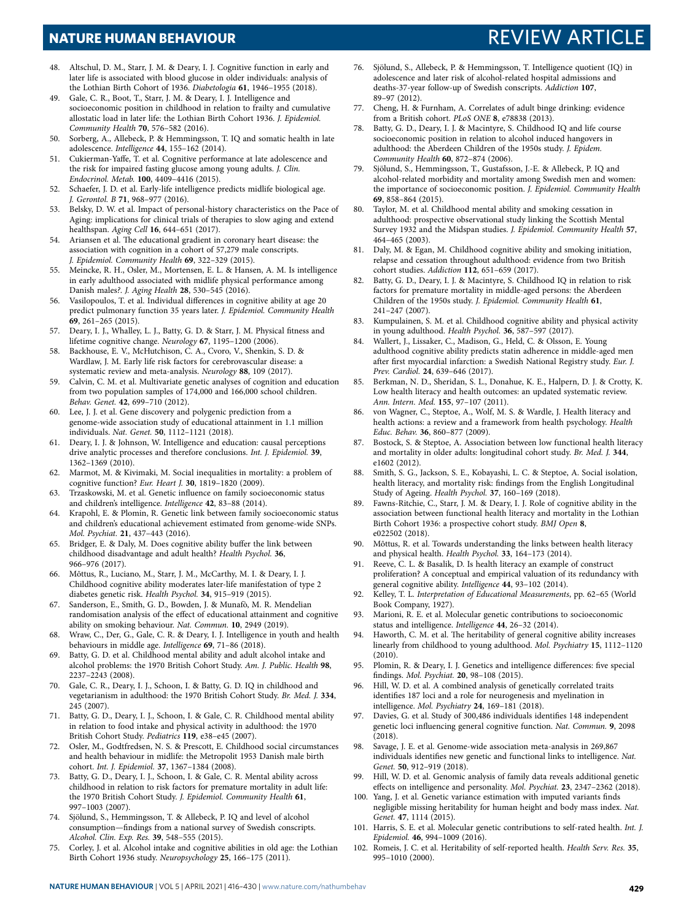- <span id="page-13-2"></span> 48. Altschul, D. M., Starr, J. M. & Deary, I. J. Cognitive function in early and later life is associated with blood glucose in older individuals: analysis of the Lothian Birth Cohort of 1936. Diabetologia **61**, 1946–1955 (2018).
- <span id="page-13-3"></span> 49. Gale, C. R., Boot, T., Starr, J. M. & Deary, I. J. Intelligence and socioeconomic position in childhood in relation to frailty and cumulative allostatic load in later life: the Lothian Birth Cohort 1936. J. Epidemiol. Community Health **70**, 576–582 (2016).
- <span id="page-13-4"></span> 50. Sorberg, A., Allebeck, P. & Hemmingsson, T. IQ and somatic health in late adolescence. Intelligence **44**, 155–162 (2014).
- <span id="page-13-5"></span> 51. Cukierman-Yaffe, T. et al. Cognitive performance at late adolescence and the risk for impaired fasting glucose among young adults. J. Clin. Endocrinol. Metab. **100**, 4409–4416 (2015).
- <span id="page-13-6"></span> 52. Schaefer, J. D. et al. Early-life intelligence predicts midlife biological age. J. Gerontol. B **71**, 968–977 (2016).
- <span id="page-13-7"></span> 53. Belsky, D. W. et al. Impact of personal-history characteristics on the Pace of Aging: implications for clinical trials of therapies to slow aging and extend healthspan. Aging Cell **16**, 644–651 (2017).
- <span id="page-13-8"></span> 54. Ariansen et al. The educational gradient in coronary heart disease: the association with cognition in a cohort of 57,279 male conscripts. J. Epidemiol. Community Health **69**, 322–329 (2015).
- <span id="page-13-9"></span> 55. Meincke, R. H., Osler, M., Mortensen, E. L. & Hansen, A. M. Is intelligence in early adulthood associated with midlife physical performance among Danish males?. J. Aging Health **28**, 530–545 (2016).
- <span id="page-13-10"></span> 56. Vasilopoulos, T. et al. Individual differences in cognitive ability at age 20 predict pulmonary function 35 years later. J. Epidemiol. Community Health **69**, 261–265 (2015).
- <span id="page-13-11"></span> 57. Deary, I. J., Whalley, L. J., Batty, G. D. & Starr, J. M. Physical fitness and lifetime cognitive change. Neurology **67**, 1195–1200 (2006).
- <span id="page-13-12"></span> 58. Backhouse, E. V., McHutchison, C. A., Cvoro, V., Shenkin, S. D. & Wardlaw, J. M. Early life risk factors for cerebrovascular disease: a systematic review and meta-analysis. Neurology **88**, 109 (2017).
- <span id="page-13-13"></span> 59. Calvin, C. M. et al. Multivariate genetic analyses of cognition and education from two population samples of 174,000 and 166,000 school children. Behav. Genet. **42**, 699–710 (2012).
- <span id="page-13-14"></span> 60. Lee, J. J. et al. Gene discovery and polygenic prediction from a genome-wide association study of educational attainment in 1.1 million individuals. Nat. Genet. **50**, 1112–1121 (2018).
- <span id="page-13-15"></span> 61. Deary, I. J. & Johnson, W. Intelligence and education: causal perceptions drive analytic processes and therefore conclusions. Int. J. Epidemiol. **39**, 1362–1369 (2010).
- <span id="page-13-18"></span> 62. Marmot, M. & Kivimaki, M. Social inequalities in mortality: a problem of cognitive function? Eur. Heart J. **30**, 1819–1820 (2009).
- <span id="page-13-19"></span> 63. Trzaskowski, M. et al. Genetic influence on family socioeconomic status and children's intelligence. Intelligence **42**, 83–88 (2014).
- <span id="page-13-20"></span> 64. Krapohl, E. & Plomin, R. Genetic link between family socioeconomic status and children's educational achievement estimated from genome-wide SNPs. Mol. Psychiat. **21**, 437–443 (2016).
- <span id="page-13-21"></span> 65. Bridger, E. & Daly, M. Does cognitive ability buffer the link between childhood disadvantage and adult health? Health Psychol. **36**, 966–976 (2017).
- <span id="page-13-22"></span> 66. Mõttus, R., Luciano, M., Starr, J. M., McCarthy, M. I. & Deary, I. J. Childhood cognitive ability moderates later-life manifestation of type 2 diabetes genetic risk. Health Psychol. **34**, 915–919 (2015).
- <span id="page-13-23"></span> 67. Sanderson, E., Smith, G. D., Bowden, J. & Munafò, M. R. Mendelian randomisation analysis of the effect of educational attainment and cognitive ability on smoking behaviour. Nat. Commun. **10**, 2949 (2019).
- <span id="page-13-24"></span> 68. Wraw, C., Der, G., Gale, C. R. & Deary, I. J. Intelligence in youth and health behaviours in middle age. Intelligence **69**, 71–86 (2018).
- <span id="page-13-29"></span> 69. Batty, G. D. et al. Childhood mental ability and adult alcohol intake and alcohol problems: the 1970 British Cohort Study. Am. J. Public. Health **98**, 2237–2243 (2008).
- <span id="page-13-26"></span> 70. Gale, C. R., Deary, I. J., Schoon, I. & Batty, G. D. IQ in childhood and vegetarianism in adulthood: the 1970 British Cohort Study. Br. Med. J. **334**, 245 (2007).
- <span id="page-13-27"></span> 71. Batty, G. D., Deary, I. J., Schoon, I. & Gale, C. R. Childhood mental ability in relation to food intake and physical activity in adulthood: the 1970 British Cohort Study. Pediatrics **119**, e38–e45 (2007).
- <span id="page-13-28"></span> 72. Osler, M., Godtfredsen, N. S. & Prescott, E. Childhood social circumstances and health behaviour in midlife: the Metropolit 1953 Danish male birth cohort. Int. J. Epidemiol. **37**, 1367–1384 (2008).
- <span id="page-13-25"></span> 73. Batty, G. D., Deary, I. J., Schoon, I. & Gale, C. R. Mental ability across childhood in relation to risk factors for premature mortality in adult life: the 1970 British Cohort Study. J. Epidemiol. Community Health **61**, 997–1003 (2007).
- <span id="page-13-30"></span> 74. Sjölund, S., Hemmingsson, T. & Allebeck, P. IQ and level of alcohol consumption—findings from a national survey of Swedish conscripts. Alcohol. Clin. Exp. Res. **39**, 548–555 (2015).
- <span id="page-13-31"></span> 75. Corley, J. et al. Alcohol intake and cognitive abilities in old age: the Lothian Birth Cohort 1936 study. Neuropsychology **25**, 166–175 (2011).
- <span id="page-13-32"></span> 76. Sjölund, S., Allebeck, P. & Hemmingsson, T. Intelligence quotient (IQ) in adolescence and later risk of alcohol-related hospital admissions and deaths-37-year follow-up of Swedish conscripts. Addiction **107**, 89–97 (2012).
- 77. Cheng, H. & Furnham, A. Correlates of adult binge drinking: evidence from a British cohort. PLoS ONE **8**, e78838 (2013).
- Batty, G. D., Deary, I. J. & Macintyre, S. Childhood IQ and life course socioeconomic position in relation to alcohol induced hangovers in adulthood: the Aberdeen Children of the 1950s study. J. Epidem. Community Health **60**, 872–874 (2006).
- <span id="page-13-33"></span> 79. Sjölund, S., Hemmingsson, T., Gustafsson, J.-E. & Allebeck, P. IQ and alcohol-related morbidity and mortality among Swedish men and women: the importance of socioeconomic position. J. Epidemiol. Community Health **69**, 858–864 (2015).
- <span id="page-13-34"></span> 80. Taylor, M. et al. Childhood mental ability and smoking cessation in adulthood: prospective observational study linking the Scottish Mental Survey 1932 and the Midspan studies. J. Epidemiol. Community Health **57**, 464–465 (2003).
- <span id="page-13-35"></span> 81. Daly, M. & Egan, M. Childhood cognitive ability and smoking initiation, relapse and cessation throughout adulthood: evidence from two British cohort studies. Addiction **112**, 651–659 (2017).
- <span id="page-13-36"></span> 82. Batty, G. D., Deary, I. J. & Macintyre, S. Childhood IQ in relation to risk factors for premature mortality in middle-aged persons: the Aberdeen Children of the 1950s study. J. Epidemiol. Community Health **61**, 241–247 (2007).
- <span id="page-13-37"></span> 83. Kumpulainen, S. M. et al. Childhood cognitive ability and physical activity in young adulthood. Health Psychol. **36**, 587–597 (2017).
- <span id="page-13-38"></span> 84. Wallert, J., Lissaker, C., Madison, G., Held, C. & Olsson, E. Young adulthood cognitive ability predicts statin adherence in middle-aged men after first myocardial infarction: a Swedish National Registry study. Eur. J. Prev. Cardiol. **24**, 639–646 (2017).
- <span id="page-13-39"></span> 85. Berkman, N. D., Sheridan, S. L., Donahue, K. E., Halpern, D. J. & Crotty, K. Low health literacy and health outcomes: an updated systematic review. Ann. Intern. Med. **155**, 97–107 (2011).
- <span id="page-13-40"></span> 86. von Wagner, C., Steptoe, A., Wolf, M. S. & Wardle, J. Health literacy and health actions: a review and a framework from health psychology. Health Educ. Behav. **36**, 860–877 (2009).
- <span id="page-13-41"></span> 87. Bostock, S. & Steptoe, A. Association between low functional health literacy and mortality in older adults: longitudinal cohort study. Br. Med. J. **344**, e1602 (2012).
- <span id="page-13-42"></span> 88. Smith, S. G., Jackson, S. E., Kobayashi, L. C. & Steptoe, A. Social isolation, health literacy, and mortality risk: findings from the English Longitudinal Study of Ageing. Health Psychol. **37**, 160–169 (2018).
- <span id="page-13-43"></span> 89. Fawns-Ritchie, C., Starr, J. M. & Deary, I. J. Role of cognitive ability in the association between functional health literacy and mortality in the Lothian Birth Cohort 1936: a prospective cohort study. BMJ Open **8**, e022502 (2018).
- <span id="page-13-44"></span> 90. Mõttus, R. et al. Towards understanding the links between health literacy and physical health. Health Psychol. **33**, 164–173 (2014).
- <span id="page-13-16"></span> 91. Reeve, C. L. & Basalik, D. Is health literacy an example of construct proliferation? A conceptual and empirical valuation of its redundancy with general cognitive ability. Intelligence **44**, 93–102 (2014).
- <span id="page-13-45"></span> 92. Kelley, T. L. Interpretation of Educational Measurements, pp. 62–65 (World Book Company, 1927).
- <span id="page-13-46"></span> 93. Marioni, R. E. et al. Molecular genetic contributions to socioeconomic status and intelligence. Intelligence **44**, 26–32 (2014).
- <span id="page-13-0"></span> 94. Haworth, C. M. et al. The heritability of general cognitive ability increases linearly from childhood to young adulthood. Mol. Psychiatry **15**, 1112–1120 (2010).
- <span id="page-13-1"></span> 95. Plomin, R. & Deary, I. J. Genetics and intelligence differences: five special findings. Mol. Psychiat. **20**, 98–108 (2015).
- <span id="page-13-17"></span> 96. Hill, W. D. et al. A combined analysis of genetically correlated traits identifies 187 loci and a role for neurogenesis and myelination in intelligence. Mol. Psychiatry **24**, 169–181 (2018).
- 97. Davies, G. et al. Study of 300,486 individuals identifies 148 independent genetic loci influencing general cognitive function. Nat. Commun. **9**, 2098  $(2018)$
- <span id="page-13-47"></span> 98. Savage, J. E. et al. Genome-wide association meta-analysis in 269,867 individuals identifies new genetic and functional links to intelligence. Nat. Genet. **50**, 912–919 (2018).
- <span id="page-13-48"></span> 99. Hill, W. D. et al. Genomic analysis of family data reveals additional genetic effects on intelligence and personality. Mol. Psychiat. **23**, 2347–2362 (2018).
- <span id="page-13-49"></span> 100. Yang, J. et al. Genetic variance estimation with imputed variants finds negligible missing heritability for human height and body mass index. Nat. Genet. **47**, 1114 (2015).
- <span id="page-13-50"></span> 101. Harris, S. E. et al. Molecular genetic contributions to self-rated health. Int. J. Epidemiol. **46**, 994–1009 (2016).
- <span id="page-13-51"></span> 102. Romeis, J. C. et al. Heritability of self-reported health. Health Serv. Res. **35**, 995–1010 (2000).